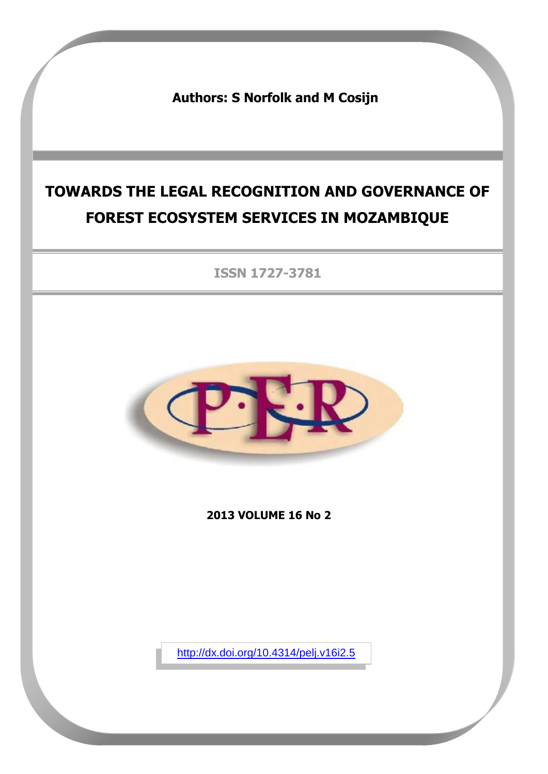**Authors: S Norfolk and M Cosijn**

# **TOWARDS THE LEGAL RECOGNITION AND GOVERNANCE OF FOREST ECOSYSTEM SERVICES IN MOZAMBIQUE**

**ISSN 1727-3781**



**2013 VOLUME 16 No 2**

<http://dx.doi.org/10.4314/pelj.v16i2.5>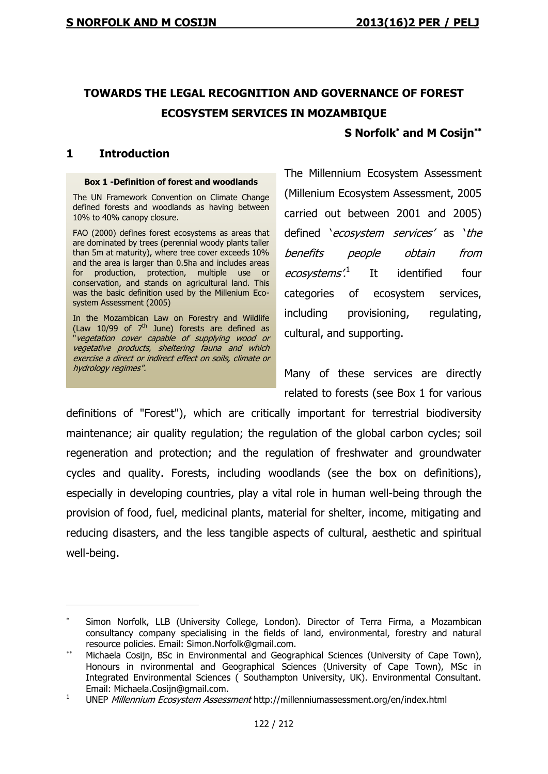## **TOWARDS THE LEGAL RECOGNITION AND GOVERNANCE OF FOREST ECOSYSTEM SERVICES IN MOZAMBIQUE**

### **S Norfolk and M Cosijn**

### **1 Introduction**

<u>.</u>

#### **Box 1 -Definition of forest and woodlands**

The UN Framework Convention on Climate Change defined forests and woodlands as having between 10% to 40% canopy closure.

FAO (2000) defines forest ecosystems as areas that are dominated by trees (perennial woody plants taller than 5m at maturity), where tree cover exceeds 10% and the area is larger than 0.5ha and includes areas for production, protection, multiple use or conservation, and stands on agricultural land. This was the basic definition used by the Millenium Ecosystem Assessment (2005)

In the Mozambican Law on Forestry and Wildlife (Law  $10/99$  of  $7<sup>th</sup>$  June) forests are defined as "vegetation cover capable of supplying wood or vegetative products, sheltering fauna and which exercise a direct or indirect effect on soils, climate or hydrology regimes".

The Millennium Ecosystem Assessment (Millenium Ecosystem Assessment, 2005 carried out between 2001 and 2005) defined '*ecosystem services'* as 'the benefits people obtain from ecosystems'. 1 It identified four categories of ecosystem services, including provisioning, regulating, cultural, and supporting.

Many of these services are directly related to forests (see Box 1 for various

definitions of "Forest"), which are critically important for terrestrial biodiversity maintenance; air quality regulation; the regulation of the global carbon cycles; soil regeneration and protection; and the regulation of freshwater and groundwater cycles and quality. Forests, including woodlands (see the box on definitions), especially in developing countries, play a vital role in human well-being through the provision of food, fuel, medicinal plants, material for shelter, income, mitigating and reducing disasters, and the less tangible aspects of cultural, aesthetic and spiritual well-being.

<sup>×</sup> Simon Norfolk, LLB (University College, London). Director of Terra Firma, a Mozambican consultancy company specialising in the fields of land, environmental, forestry and natural resource policies. Email: Simon.Norfolk@gmail.com.

Michaela Cosijn, BSc in Environmental and Geographical Sciences (University of Cape Town), Honours in nvironmental and Geographical Sciences (University of Cape Town), MSc in Integrated Environmental Sciences ( Southampton University, UK). Environmental Consultant. Email: Michaela.Cosijn@gmail.com.

<sup>&</sup>lt;sup>1</sup> UNEP *Millennium Ecosystem Assessment* http://millenniumassessment.org/en/index.html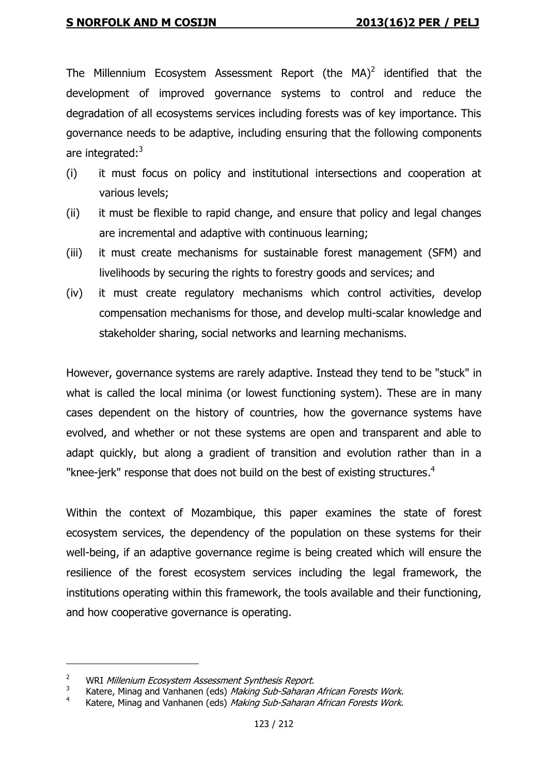The Millennium Ecosystem Assessment Report (the MA)<sup>2</sup> identified that the development of improved governance systems to control and reduce the degradation of all ecosystems services including forests was of key importance. This governance needs to be adaptive, including ensuring that the following components are integrated:<sup>3</sup>

- (i) it must focus on policy and institutional intersections and cooperation at various levels;
- (ii) it must be flexible to rapid change, and ensure that policy and legal changes are incremental and adaptive with continuous learning;
- (iii) it must create mechanisms for sustainable forest management (SFM) and livelihoods by securing the rights to forestry goods and services; and
- (iv) it must create regulatory mechanisms which control activities, develop compensation mechanisms for those, and develop multi-scalar knowledge and stakeholder sharing, social networks and learning mechanisms.

However, governance systems are rarely adaptive. Instead they tend to be "stuck" in what is called the local minima (or lowest functioning system). These are in many cases dependent on the history of countries, how the governance systems have evolved, and whether or not these systems are open and transparent and able to adapt quickly, but along a gradient of transition and evolution rather than in a "knee-jerk" response that does not build on the best of existing structures.<sup>4</sup>

Within the context of Mozambique, this paper examines the state of forest ecosystem services, the dependency of the population on these systems for their well-being, if an adaptive governance regime is being created which will ensure the resilience of the forest ecosystem services including the legal framework, the institutions operating within this framework, the tools available and their functioning, and how cooperative governance is operating.

<sup>&</sup>lt;sup>2</sup> WRI Millenium Ecosystem Assessment Synthesis Report.

<sup>3</sup> Katere, Minag and Vanhanen (eds) Making Sub-Saharan African Forests Work. 4

Katere, Minag and Vanhanen (eds) Making Sub-Saharan African Forests Work.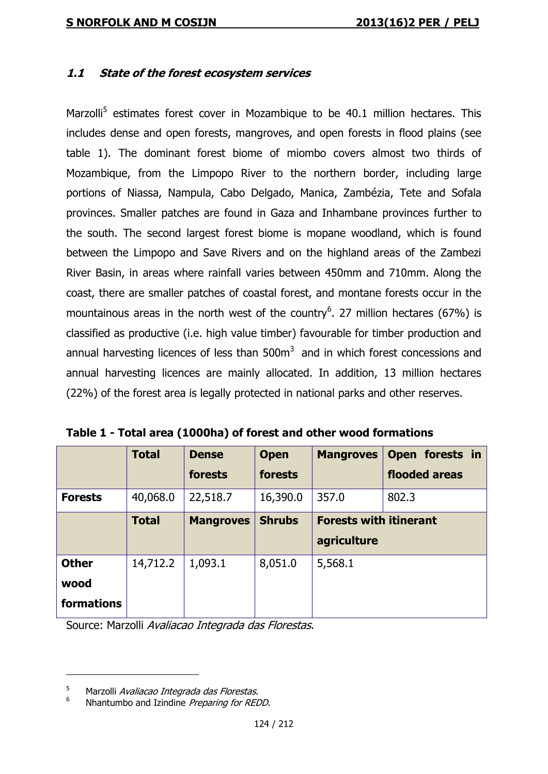### **S NORFOLK AND M COSIJN 2013(16)2 PER / PELJ**

### **1.1 State of the forest ecosystem services**

Marzolli<sup>5</sup> estimates forest cover in Mozambique to be 40.1 million hectares. This includes dense and open forests, mangroves, and open forests in flood plains (see table 1). The dominant forest biome of miombo covers almost two thirds of Mozambique, from the Limpopo River to the northern border, including large portions of Niassa, Nampula, Cabo Delgado, Manica, Zambézia, Tete and Sofala provinces. Smaller patches are found in Gaza and Inhambane provinces further to the south. The second largest forest biome is mopane woodland, which is found between the Limpopo and Save Rivers and on the highland areas of the Zambezi River Basin, in areas where rainfall varies between 450mm and 710mm. Along the coast, there are smaller patches of coastal forest, and montane forests occur in the mountainous areas in the north west of the country<sup>6</sup>. 27 million hectares (67%) is classified as productive (i.e. high value timber) favourable for timber production and annual harvesting licences of less than  $500<sup>3</sup>$  and in which forest concessions and annual harvesting licences are mainly allocated. In addition, 13 million hectares (22%) of the forest area is legally protected in national parks and other reserves.

|                | <b>Total</b> | <b>Dense</b>     | <b>Open</b>   | <b>Mangroves</b>              | Open forests in |
|----------------|--------------|------------------|---------------|-------------------------------|-----------------|
|                |              | forests          | forests       |                               | flooded areas   |
| <b>Forests</b> | 40,068.0     | 22,518.7         | 16,390.0      | 357.0                         | 802.3           |
|                | <b>Total</b> | <b>Mangroves</b> | <b>Shrubs</b> | <b>Forests with itinerant</b> |                 |
|                |              |                  |               | agriculture                   |                 |
| <b>Other</b>   | 14,712.2     | 1,093.1          | 8,051.0       | 5,568.1                       |                 |
| wood           |              |                  |               |                               |                 |
| formations     |              |                  |               |                               |                 |

**Table 1 - Total area (1000ha) of forest and other wood formations**

Source: Marzolli Avaliacao Integrada das Florestas.

<sup>&</sup>lt;sup>5</sup> Marzolli *Avaliacao Integrada das Florestas.*<br><sup>6</sup> Mbantumbo and Izinding *Proparing for PE* 

Nhantumbo and Izindine Preparing for REDD.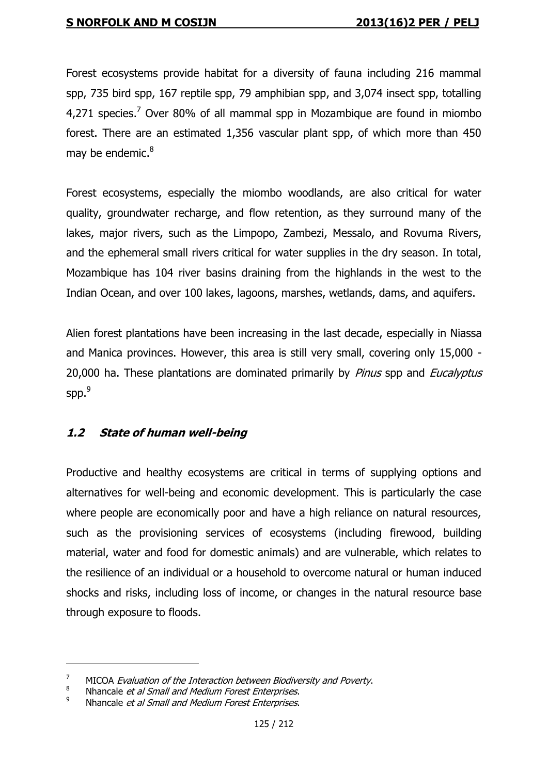Forest ecosystems provide habitat for a diversity of fauna including 216 mammal spp, 735 bird spp, 167 reptile spp, 79 amphibian spp, and 3,074 insect spp, totalling 4,271 species.<sup>7</sup> Over 80% of all mammal spp in Mozambique are found in miombo forest. There are an estimated 1,356 vascular plant spp, of which more than 450 may be endemic.<sup>8</sup>

Forest ecosystems, especially the miombo woodlands, are also critical for water quality, groundwater recharge, and flow retention, as they surround many of the lakes, major rivers, such as the Limpopo, Zambezi, Messalo, and Rovuma Rivers, and the ephemeral small rivers critical for water supplies in the dry season. In total, Mozambique has 104 river basins draining from the highlands in the west to the Indian Ocean, and over 100 lakes, lagoons, marshes, wetlands, dams, and aquifers.

Alien forest plantations have been increasing in the last decade, especially in Niassa and Manica provinces. However, this area is still very small, covering only 15,000 - 20,000 ha. These plantations are dominated primarily by Pinus spp and Eucalyptus  ${\sf spp.}^9$ 

### **1.2 State of human well-being**

Productive and healthy ecosystems are critical in terms of supplying options and alternatives for well-being and economic development. This is particularly the case where people are economically poor and have a high reliance on natural resources, such as the provisioning services of ecosystems (including firewood, building material, water and food for domestic animals) and are vulnerable, which relates to the resilience of an individual or a household to overcome natural or human induced shocks and risks, including loss of income, or changes in the natural resource base through exposure to floods.

<sup>&</sup>lt;sup>7</sup> MICOA *Evaluation of the Interaction between Biodiversity and Poverty.*<br><sup>8</sup> Nhancalo *et al Small and Modium Forest Enterprises* 

<sup>&</sup>lt;sup>8</sup> Nhancale *et al Small and Medium Forest Enterprises.*<br><sup>9</sup> Nhancale *et al Small and Medium Forest Enterprises*.

Nhancale et al Small and Medium Forest Enterprises.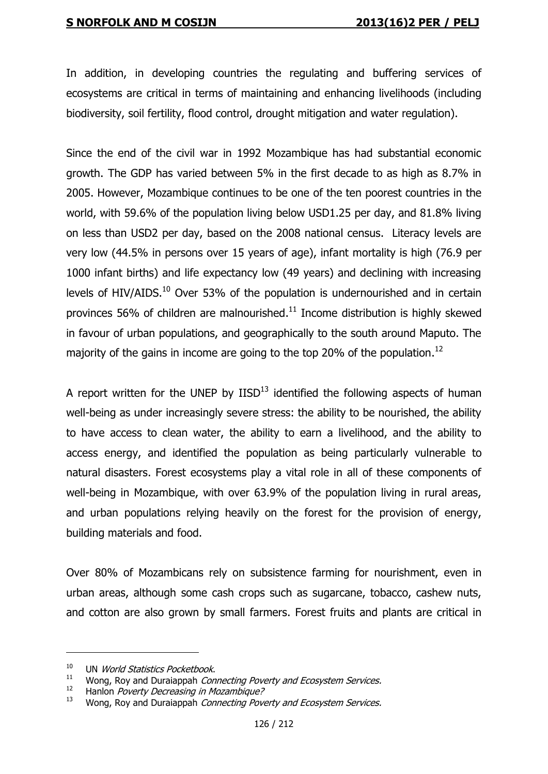In addition, in developing countries the regulating and buffering services of ecosystems are critical in terms of maintaining and enhancing livelihoods (including biodiversity, soil fertility, flood control, drought mitigation and water regulation).

Since the end of the civil war in 1992 Mozambique has had substantial economic growth. The GDP has varied between 5% in the first decade to as high as 8.7% in 2005. However, Mozambique continues to be one of the ten poorest countries in the world, with 59.6% of the population living below USD1.25 per day, and 81.8% living on less than USD2 per day, based on the 2008 national census. Literacy levels are very low (44.5% in persons over 15 years of age), infant mortality is high (76.9 per 1000 infant births) and life expectancy low (49 years) and declining with increasing levels of HIV/AIDS.<sup>10</sup> Over 53% of the population is undernourished and in certain provinces 56% of children are malnourished. $11$  Income distribution is highly skewed in favour of urban populations, and geographically to the south around Maputo. The majority of the gains in income are going to the top 20% of the population.<sup>12</sup>

A report written for the UNEP by  $\text{IISD}^{13}$  identified the following aspects of human well-being as under increasingly severe stress: the ability to be nourished, the ability to have access to clean water, the ability to earn a livelihood, and the ability to access energy, and identified the population as being particularly vulnerable to natural disasters. Forest ecosystems play a vital role in all of these components of well-being in Mozambique, with over 63.9% of the population living in rural areas, and urban populations relying heavily on the forest for the provision of energy, building materials and food.

Over 80% of Mozambicans rely on subsistence farming for nourishment, even in urban areas, although some cash crops such as sugarcane, tobacco, cashew nuts, and cotton are also grown by small farmers. Forest fruits and plants are critical in

<sup>&</sup>lt;sup>10</sup> UN *World Statistics Pocketbook*.

<sup>&</sup>lt;sup>11</sup> Wong, Roy and Duraiappah *Connecting Poverty and Ecosystem Services.*<br><sup>12</sup> Haplan *Poverty Dessensing in Mazambigue*?

<sup>&</sup>lt;sup>12</sup> Hanlon *Poverty Decreasing in Mozambique?*<br><sup>13</sup> Mong Boy and Duraiannab *Connecting Pove* 

Wong, Roy and Duraiappah Connecting Poverty and Ecosystem Services.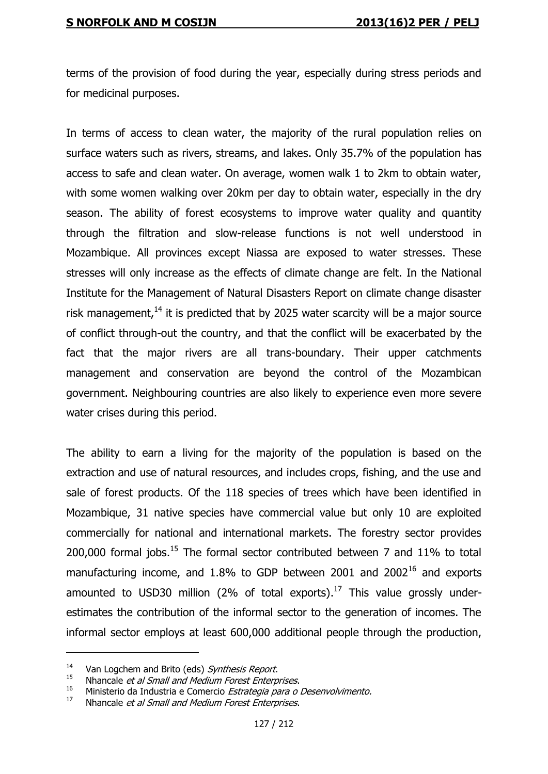terms of the provision of food during the year, especially during stress periods and for medicinal purposes.

In terms of access to clean water, the majority of the rural population relies on surface waters such as rivers, streams, and lakes. Only 35.7% of the population has access to safe and clean water. On average, women walk 1 to 2km to obtain water, with some women walking over 20km per day to obtain water, especially in the dry season. The ability of forest ecosystems to improve water quality and quantity through the filtration and slow-release functions is not well understood in Mozambique. All provinces except Niassa are exposed to water stresses. These stresses will only increase as the effects of climate change are felt. In the National Institute for the Management of Natural Disasters Report on climate change disaster risk management, $^{14}$  it is predicted that by 2025 water scarcity will be a major source of conflict through-out the country, and that the conflict will be exacerbated by the fact that the major rivers are all trans-boundary. Their upper catchments management and conservation are beyond the control of the Mozambican government. Neighbouring countries are also likely to experience even more severe water crises during this period.

The ability to earn a living for the majority of the population is based on the extraction and use of natural resources, and includes crops, fishing, and the use and sale of forest products. Of the 118 species of trees which have been identified in Mozambique, 31 native species have commercial value but only 10 are exploited commercially for national and international markets. The forestry sector provides 200,000 formal jobs.<sup>15</sup> The formal sector contributed between  $7$  and  $11\%$  to total manufacturing income, and  $1.8\%$  to GDP between 2001 and 2002<sup>16</sup> and exports amounted to USD30 million (2% of total exports). $^{17}$  This value grossly underestimates the contribution of the informal sector to the generation of incomes. The informal sector employs at least 600,000 additional people through the production,

<sup>&</sup>lt;sup>14</sup> Van Logchem and Brito (eds) *Synthesis Report*.

<sup>&</sup>lt;sup>15</sup> Nhancale *et al Small and Medium Forest Enterprises*.

<sup>&</sup>lt;sup>16</sup> Ministerio da Industria e Comercio *Estrategia para o Desenvolvimento.*<br><sup>17</sup> Mbancale *et al Small and Medium Escest Enternrises* 

Nhancale et al Small and Medium Forest Enterprises.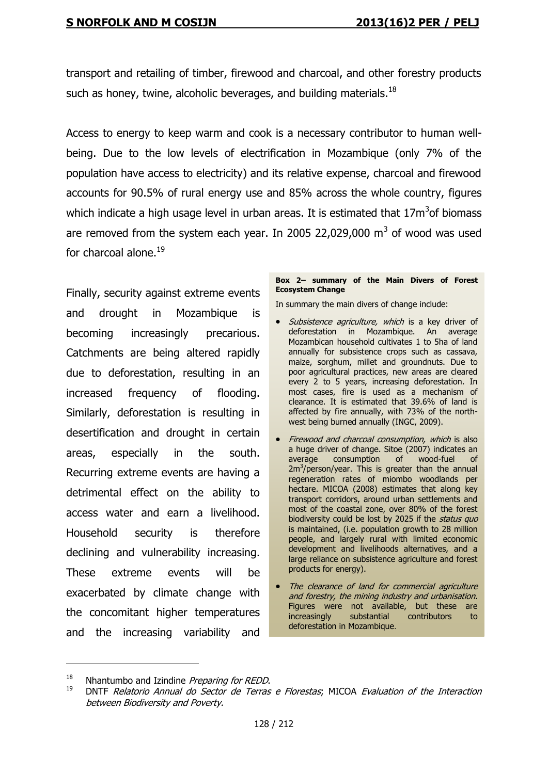transport and retailing of timber, firewood and charcoal, and other forestry products such as honey, twine, alcoholic beverages, and building materials. $^{18}$ 

Access to energy to keep warm and cook is a necessary contributor to human wellbeing. Due to the low levels of electrification in Mozambique (only 7% of the population have access to electricity) and its relative expense, charcoal and firewood accounts for 90.5% of rural energy use and 85% across the whole country, figures which indicate a high usage level in urban areas. It is estimated that  $17m<sup>3</sup>$ of biomass are removed from the system each year. In 2005 22,029,000  $\mathrm{m}^3$  of wood was used for charcoal alone.<sup>19</sup>

Finally, security against extreme events and drought in Mozambique is becoming increasingly precarious. Catchments are being altered rapidly due to deforestation, resulting in an increased frequency of flooding. Similarly, deforestation is resulting in desertification and drought in certain areas, especially in the south. Recurring extreme events are having a detrimental effect on the ability to access water and earn a livelihood. Household security is therefore declining and vulnerability increasing. These extreme events will be exacerbated by climate change with the concomitant higher temperatures and the increasing variability and **Box 2– summary of the Main Divers of Forest Ecosystem Change**

In summary the main divers of change include:

- Subsistence agriculture, which is a key driver of deforestation in Mozambique. An average Mozambican household cultivates 1 to 5ha of land annually for subsistence crops such as cassava, maize, sorghum, millet and groundnuts. Due to poor agricultural practices, new areas are cleared every 2 to 5 years, increasing deforestation. In most cases, fire is used as a mechanism of clearance. It is estimated that 39.6% of land is affected by fire annually, with 73% of the northwest being burned annually (INGC, 2009).
- Firewood and charcoal consumption, which is also a huge driver of change. Sitoe (2007) indicates an average consumption of wood-fuel of  $2m<sup>3</sup>/person/year. This is greater than the annual$ regeneration rates of miombo woodlands per hectare. MICOA (2008) estimates that along key transport corridors, around urban settlements and most of the coastal zone, over 80% of the forest biodiversity could be lost by 2025 if the status quo is maintained, (i.e. population growth to 28 million people, and largely rural with limited economic development and livelihoods alternatives, and a large reliance on subsistence agriculture and forest products for energy).
- The clearance of land for commercial agriculture and forestry, the mining industry and urbanisation. Figures were not available, but these are increasingly substantial contributors to deforestation in Mozambique.

<sup>&</sup>lt;sup>18</sup> Nhantumbo and Izindine *Preparing for REDD*.<br><sup>19</sup> DNTE *Polatorio Appual do Soctor do Terras* 

DNTF Relatorio Annual do Sector de Terras e Florestas; MICOA Evaluation of the Interaction between Biodiversity and Poverty.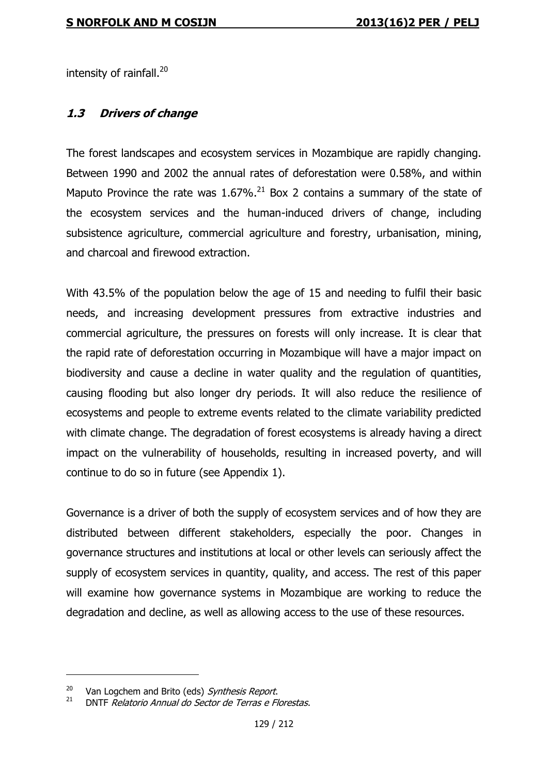intensity of rainfall.<sup>20</sup>

### **1.3 Drivers of change**

The forest landscapes and ecosystem services in Mozambique are rapidly changing. Between 1990 and 2002 the annual rates of deforestation were 0.58%, and within Maputo Province the rate was  $1.67\%$ .<sup>21</sup> Box 2 contains a summary of the state of the ecosystem services and the human-induced drivers of change, including subsistence agriculture, commercial agriculture and forestry, urbanisation, mining, and charcoal and firewood extraction.

With 43.5% of the population below the age of 15 and needing to fulfil their basic needs, and increasing development pressures from extractive industries and commercial agriculture, the pressures on forests will only increase. It is clear that the rapid rate of deforestation occurring in Mozambique will have a major impact on biodiversity and cause a decline in water quality and the regulation of quantities, causing flooding but also longer dry periods. It will also reduce the resilience of ecosystems and people to extreme events related to the climate variability predicted with climate change. The degradation of forest ecosystems is already having a direct impact on the vulnerability of households, resulting in increased poverty, and will continue to do so in future (see Appendix 1).

Governance is a driver of both the supply of ecosystem services and of how they are distributed between different stakeholders, especially the poor. Changes in governance structures and institutions at local or other levels can seriously affect the supply of ecosystem services in quantity, quality, and access. The rest of this paper will examine how governance systems in Mozambique are working to reduce the degradation and decline, as well as allowing access to the use of these resources.

<sup>&</sup>lt;sup>20</sup> Van Logchem and Brito (eds) *Synthesis Report*.<br><sup>21</sup> DNTE *Polatorio Annual do Sector de Terras e El* 

<sup>21</sup> DNTF Relatorio Annual do Sector de Terras e Florestas.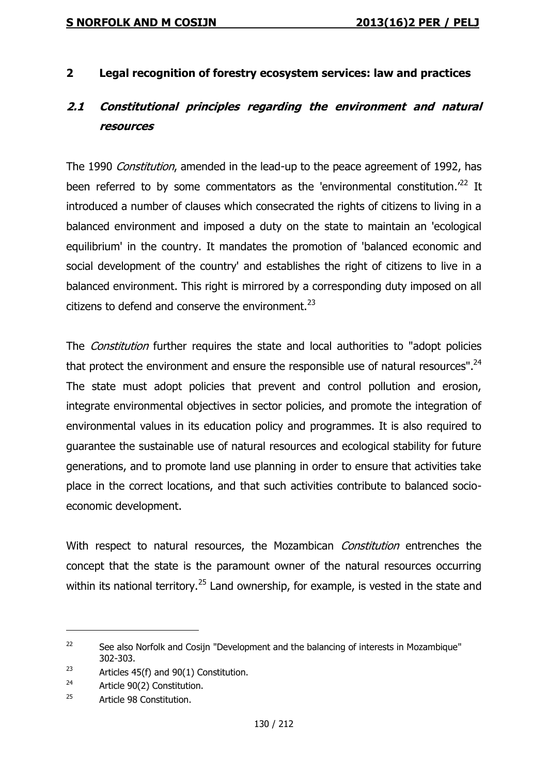### **2 Legal recognition of forestry ecosystem services: law and practices**

## **2.1 Constitutional principles regarding the environment and natural resources**

The 1990 Constitution, amended in the lead-up to the peace agreement of 1992, has been referred to by some commentators as the 'environmental constitution.<sup> $22$ </sup> It introduced a number of clauses which consecrated the rights of citizens to living in a balanced environment and imposed a duty on the state to maintain an 'ecological equilibrium' in the country. It mandates the promotion of 'balanced economic and social development of the country' and establishes the right of citizens to live in a balanced environment. This right is mirrored by a corresponding duty imposed on all citizens to defend and conserve the environment. $^{23}$ 

The *Constitution* further requires the state and local authorities to "adopt policies that protect the environment and ensure the responsible use of natural resources".<sup>24</sup> The state must adopt policies that prevent and control pollution and erosion, integrate environmental objectives in sector policies, and promote the integration of environmental values in its education policy and programmes. It is also required to guarantee the sustainable use of natural resources and ecological stability for future generations, and to promote land use planning in order to ensure that activities take place in the correct locations, and that such activities contribute to balanced socioeconomic development.

With respect to natural resources, the Mozambican *Constitution* entrenches the concept that the state is the paramount owner of the natural resources occurring within its national territory.<sup>25</sup> Land ownership, for example, is vested in the state and

<sup>&</sup>lt;sup>22</sup> See also Norfolk and Cosijn "Development and the balancing of interests in Mozambique" 302-303.

<sup>&</sup>lt;sup>23</sup> Articles 45(f) and  $90(1)$  Constitution.

<sup>24</sup> Article 90(2) Constitution.

<sup>25</sup> Article 98 Constitution.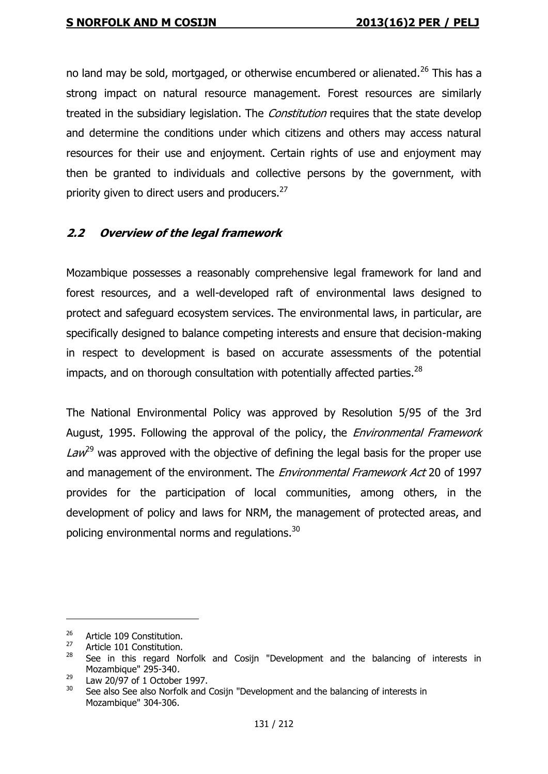no land may be sold, mortgaged, or otherwise encumbered or alienated.<sup>26</sup> This has a strong impact on natural resource management. Forest resources are similarly treated in the subsidiary legislation. The *Constitution* reguires that the state develop and determine the conditions under which citizens and others may access natural resources for their use and enjoyment. Certain rights of use and enjoyment may then be granted to individuals and collective persons by the government, with priority given to direct users and producers.<sup>27</sup>

### **2.2 Overview of the legal framework**

Mozambique possesses a reasonably comprehensive legal framework for land and forest resources, and a well-developed raft of environmental laws designed to protect and safeguard ecosystem services. The environmental laws, in particular, are specifically designed to balance competing interests and ensure that decision-making in respect to development is based on accurate assessments of the potential impacts, and on thorough consultation with potentially affected parties. $^{28}$ 

The National Environmental Policy was approved by Resolution 5/95 of the 3rd August, 1995. Following the approval of the policy, the *Environmental Framework* Law<sup>29</sup> was approved with the objective of defining the legal basis for the proper use and management of the environment. The *Environmental Framework Act* 20 of 1997 provides for the participation of local communities, among others, in the development of policy and laws for NRM, the management of protected areas, and policing environmental norms and regulations.<sup>30</sup>

 $26$  Article 109 Constitution.

 $^{27}$  Article 101 Constitution.

See in this regard Norfolk and Cosijn "Development and the balancing of interests in Mozambique" 295-340.

 $^{29}$  Law 20/97 of 1 October 1997.

See also See also Norfolk and Cosijn "Development and the balancing of interests in Mozambique" 304-306.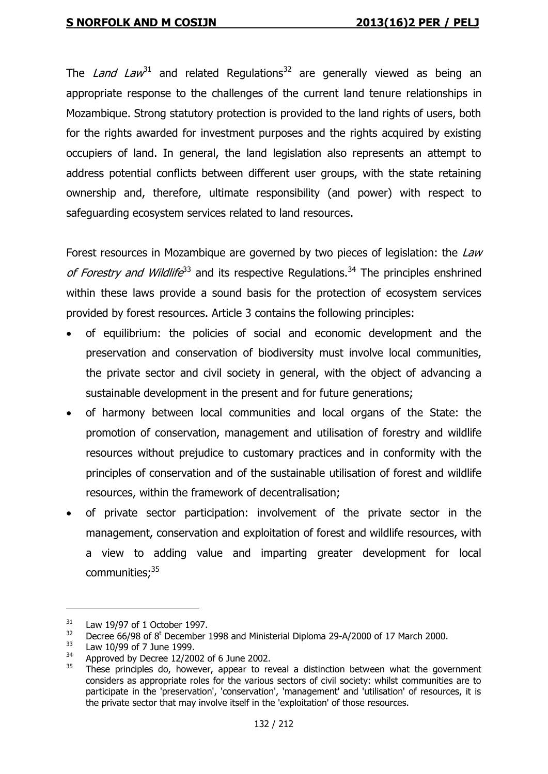The Land Law<sup>31</sup> and related Regulations<sup>32</sup> are generally viewed as being an appropriate response to the challenges of the current land tenure relationships in Mozambique. Strong statutory protection is provided to the land rights of users, both for the rights awarded for investment purposes and the rights acquired by existing occupiers of land. In general, the land legislation also represents an attempt to address potential conflicts between different user groups, with the state retaining ownership and, therefore, ultimate responsibility (and power) with respect to safeguarding ecosystem services related to land resources.

Forest resources in Mozambique are governed by two pieces of legislation: the Law of Forestry and Wildlife<sup>33</sup> and its respective Regulations.<sup>34</sup> The principles enshrined within these laws provide a sound basis for the protection of ecosystem services provided by forest resources. Article 3 contains the following principles:

- of equilibrium: the policies of social and economic development and the preservation and conservation of biodiversity must involve local communities, the private sector and civil society in general, with the object of advancing a sustainable development in the present and for future generations;
- of harmony between local communities and local organs of the State: the promotion of conservation, management and utilisation of forestry and wildlife resources without prejudice to customary practices and in conformity with the principles of conservation and of the sustainable utilisation of forest and wildlife resources, within the framework of decentralisation;
- of private sector participation: involvement of the private sector in the management, conservation and exploitation of forest and wildlife resources, with a view to adding value and imparting greater development for local communities;<sup>35</sup>

 $31$  Law 19/97 of 1 October 1997.

 $\frac{32}{33}$  Decree 66/98 of 8<sup>t</sup> December 1998 and Ministerial Diploma 29-A/2000 of 17 March 2000.

 $\frac{33}{34}$  Law 10/99 of 7 June 1999.

 $34$  Approved by Decree 12/2002 of 6 June 2002.

These principles do, however, appear to reveal a distinction between what the government considers as appropriate roles for the various sectors of civil society: whilst communities are to participate in the 'preservation', 'conservation', 'management' and 'utilisation' of resources, it is the private sector that may involve itself in the 'exploitation' of those resources.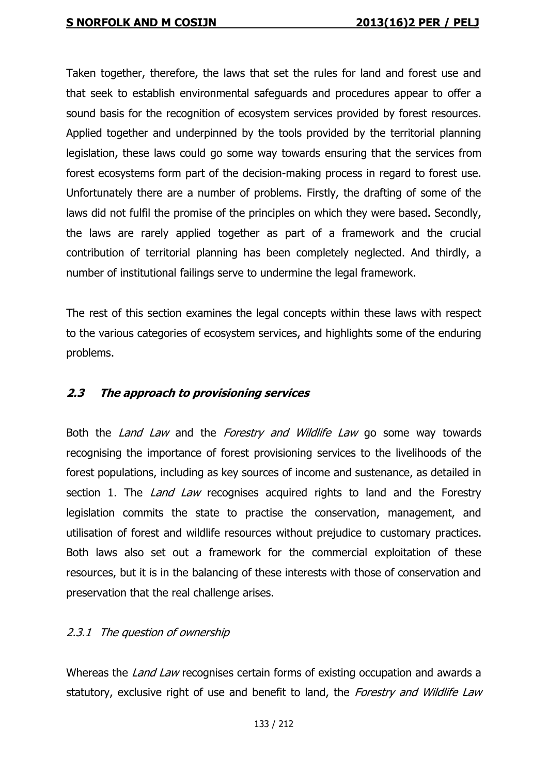Taken together, therefore, the laws that set the rules for land and forest use and that seek to establish environmental safeguards and procedures appear to offer a sound basis for the recognition of ecosystem services provided by forest resources. Applied together and underpinned by the tools provided by the territorial planning legislation, these laws could go some way towards ensuring that the services from forest ecosystems form part of the decision-making process in regard to forest use. Unfortunately there are a number of problems. Firstly, the drafting of some of the laws did not fulfil the promise of the principles on which they were based. Secondly, the laws are rarely applied together as part of a framework and the crucial contribution of territorial planning has been completely neglected. And thirdly, a number of institutional failings serve to undermine the legal framework.

The rest of this section examines the legal concepts within these laws with respect to the various categories of ecosystem services, and highlights some of the enduring problems.

### **2.3 The approach to provisioning services**

Both the *Land Law* and the *Forestry and Wildlife Law* go some way towards recognising the importance of forest provisioning services to the livelihoods of the forest populations, including as key sources of income and sustenance, as detailed in section 1. The *Land Law* recognises acquired rights to land and the Forestry legislation commits the state to practise the conservation, management, and utilisation of forest and wildlife resources without prejudice to customary practices. Both laws also set out a framework for the commercial exploitation of these resources, but it is in the balancing of these interests with those of conservation and preservation that the real challenge arises.

### 2.3.1 The question of ownership

Whereas the *Land Law* recognises certain forms of existing occupation and awards a statutory, exclusive right of use and benefit to land, the *Forestry and Wildlife Law*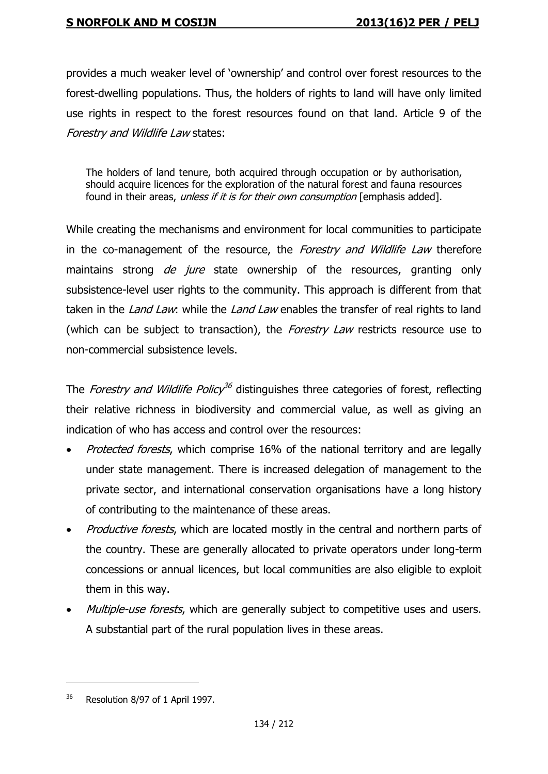provides a much weaker level of 'ownership' and control over forest resources to the forest-dwelling populations. Thus, the holders of rights to land will have only limited use rights in respect to the forest resources found on that land. Article 9 of the Forestry and Wildlife Law states:

The holders of land tenure, both acquired through occupation or by authorisation, should acquire licences for the exploration of the natural forest and fauna resources found in their areas, unless if it is for their own consumption [emphasis added].

While creating the mechanisms and environment for local communities to participate in the co-management of the resource, the Forestry and Wildlife Law therefore maintains strong *de jure* state ownership of the resources, granting only subsistence-level user rights to the community. This approach is different from that taken in the *Land Law*: while the *Land Law* enables the transfer of real rights to land (which can be subject to transaction), the *Forestry Law* restricts resource use to non-commercial subsistence levels.

The *Forestry and Wildlife Policy<sup>36</sup>* distinguishes three categories of forest, reflecting their relative richness in biodiversity and commercial value, as well as giving an indication of who has access and control over the resources:

- Protected forests, which comprise 16% of the national territory and are legally under state management. There is increased delegation of management to the private sector, and international conservation organisations have a long history of contributing to the maintenance of these areas.
- Productive forests, which are located mostly in the central and northern parts of the country. These are generally allocated to private operators under long-term concessions or annual licences, but local communities are also eligible to exploit them in this way.
- *Multiple-use forests*, which are generally subject to competitive uses and users. A substantial part of the rural population lives in these areas.

<sup>&</sup>lt;sup>36</sup> Resolution 8/97 of 1 April 1997.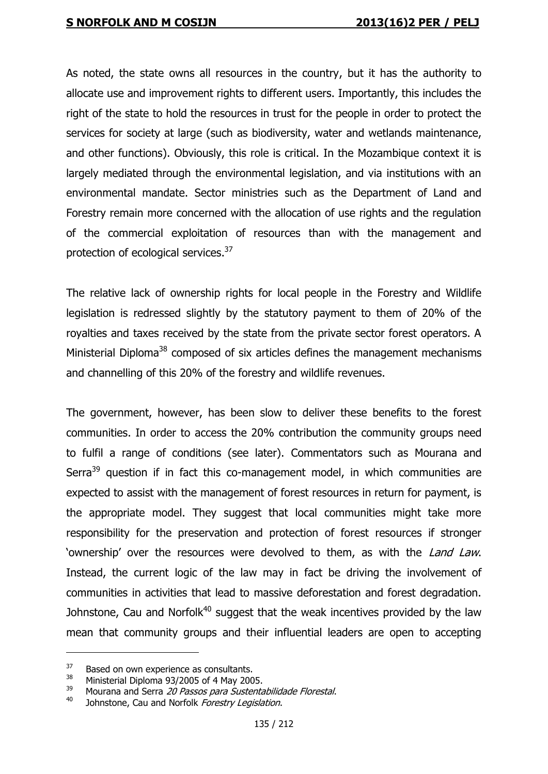As noted, the state owns all resources in the country, but it has the authority to allocate use and improvement rights to different users. Importantly, this includes the right of the state to hold the resources in trust for the people in order to protect the services for society at large (such as biodiversity, water and wetlands maintenance, and other functions). Obviously, this role is critical. In the Mozambique context it is largely mediated through the environmental legislation, and via institutions with an environmental mandate. Sector ministries such as the Department of Land and Forestry remain more concerned with the allocation of use rights and the regulation of the commercial exploitation of resources than with the management and protection of ecological services.<sup>37</sup>

The relative lack of ownership rights for local people in the Forestry and Wildlife legislation is redressed slightly by the statutory payment to them of 20% of the royalties and taxes received by the state from the private sector forest operators. A Ministerial Diploma<sup>38</sup> composed of six articles defines the management mechanisms and channelling of this 20% of the forestry and wildlife revenues.

The government, however, has been slow to deliver these benefits to the forest communities. In order to access the 20% contribution the community groups need to fulfil a range of conditions (see later). Commentators such as Mourana and Serra<sup>39</sup> question if in fact this co-management model, in which communities are expected to assist with the management of forest resources in return for payment, is the appropriate model. They suggest that local communities might take more responsibility for the preservation and protection of forest resources if stronger 'ownership' over the resources were devolved to them, as with the Land Law. Instead, the current logic of the law may in fact be driving the involvement of communities in activities that lead to massive deforestation and forest degradation. Johnstone, Cau and Norfolk<sup>40</sup> suggest that the weak incentives provided by the law mean that community groups and their influential leaders are open to accepting

 $37$  Based on own experience as consultants.

 $^{38}$  Ministerial Diploma 93/2005 of 4 May 2005.

 $39$  Mourana and Serra 20 Passos para Sustentabilidade Florestal.

Johnstone, Cau and Norfolk Forestry Legislation.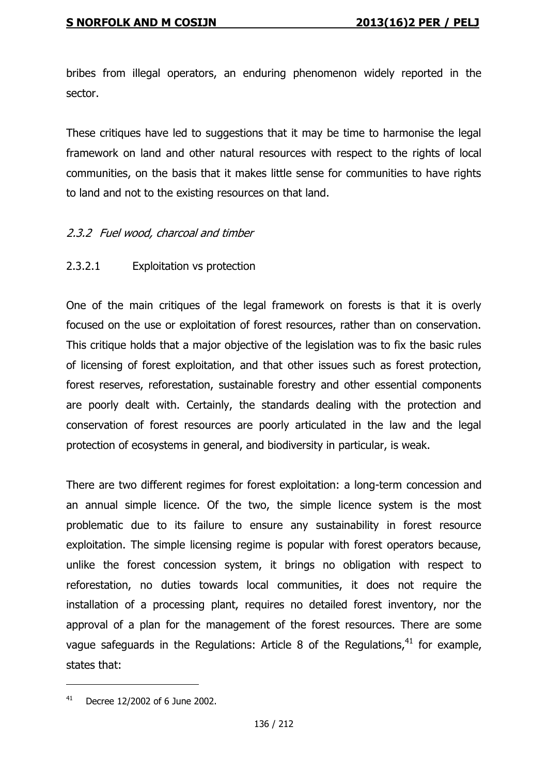bribes from illegal operators, an enduring phenomenon widely reported in the sector.

These critiques have led to suggestions that it may be time to harmonise the legal framework on land and other natural resources with respect to the rights of local communities, on the basis that it makes little sense for communities to have rights to land and not to the existing resources on that land.

### 2.3.2 Fuel wood, charcoal and timber

### 2.3.2.1 Exploitation vs protection

One of the main critiques of the legal framework on forests is that it is overly focused on the use or exploitation of forest resources, rather than on conservation. This critique holds that a major objective of the legislation was to fix the basic rules of licensing of forest exploitation, and that other issues such as forest protection, forest reserves, reforestation, sustainable forestry and other essential components are poorly dealt with. Certainly, the standards dealing with the protection and conservation of forest resources are poorly articulated in the law and the legal protection of ecosystems in general, and biodiversity in particular, is weak.

There are two different regimes for forest exploitation: a long-term concession and an annual simple licence. Of the two, the simple licence system is the most problematic due to its failure to ensure any sustainability in forest resource exploitation. The simple licensing regime is popular with forest operators because, unlike the forest concession system, it brings no obligation with respect to reforestation, no duties towards local communities, it does not require the installation of a processing plant, requires no detailed forest inventory, nor the approval of a plan for the management of the forest resources. There are some vague safeguards in the Regulations: Article 8 of the Regulations, $41$  for example, states that:

<sup>41</sup> Decree 12/2002 of 6 June 2002.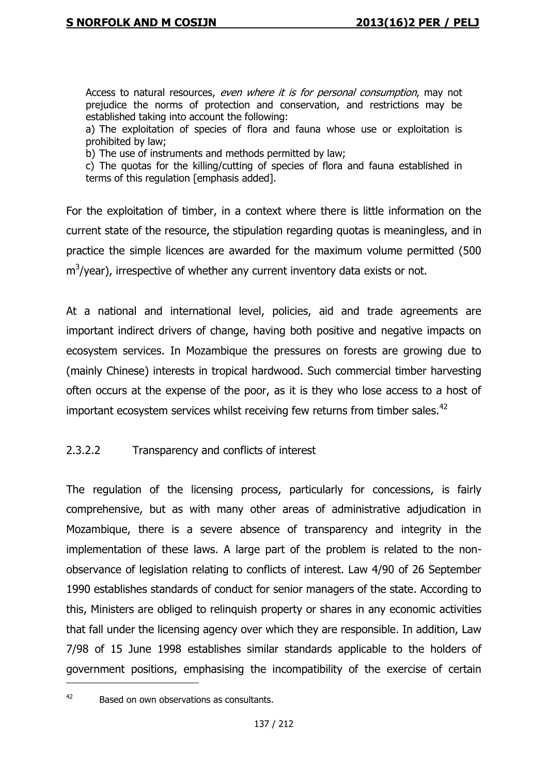Access to natural resources, even where it is for personal consumption, may not prejudice the norms of protection and conservation, and restrictions may be established taking into account the following:

a) The exploitation of species of flora and fauna whose use or exploitation is prohibited by law;

b) The use of instruments and methods permitted by law;

c) The quotas for the killing/cutting of species of flora and fauna established in terms of this regulation [emphasis added].

For the exploitation of timber, in a context where there is little information on the current state of the resource, the stipulation regarding quotas is meaningless, and in practice the simple licences are awarded for the maximum volume permitted (500  $m<sup>3</sup>/year$ ), irrespective of whether any current inventory data exists or not.

At a national and international level, policies, aid and trade agreements are important indirect drivers of change, having both positive and negative impacts on ecosystem services. In Mozambique the pressures on forests are growing due to (mainly Chinese) interests in tropical hardwood. Such commercial timber harvesting often occurs at the expense of the poor, as it is they who lose access to a host of important ecosystem services whilst receiving few returns from timber sales. $42$ 

2.3.2.2 Transparency and conflicts of interest

The regulation of the licensing process, particularly for concessions, is fairly comprehensive, but as with many other areas of administrative adjudication in Mozambique, there is a severe absence of transparency and integrity in the implementation of these laws. A large part of the problem is related to the nonobservance of legislation relating to conflicts of interest. Law 4/90 of 26 September 1990 establishes standards of conduct for senior managers of the state. According to this, Ministers are obliged to relinquish property or shares in any economic activities that fall under the licensing agency over which they are responsible. In addition, Law 7/98 of 15 June 1998 establishes similar standards applicable to the holders of government positions, emphasising the incompatibility of the exercise of certain

<sup>&</sup>lt;sup>42</sup> Based on own observations as consultants.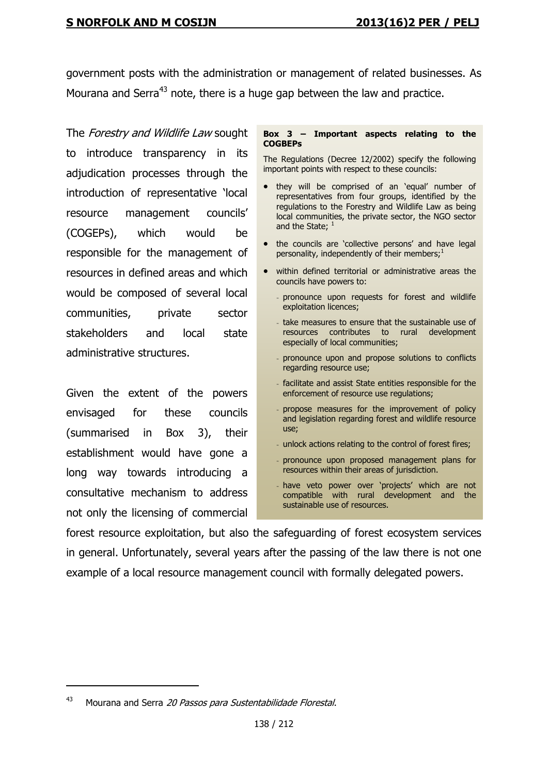government posts with the administration or management of related businesses. As Mourana and Serra<sup>43</sup> note, there is a huge gap between the law and practice.

The *Forestry and Wildlife Law* sought to introduce transparency in its adjudication processes through the introduction of representative 'local resource management councils' (COGEPs), which would be responsible for the management of resources in defined areas and which would be composed of several local communities, private sector stakeholders and local state administrative structures.

Given the extent of the powers envisaged for these councils (summarised in Box 3), their establishment would have gone a long way towards introducing a consultative mechanism to address not only the licensing of commercial

-

#### **Box 3 – Important aspects relating to the COGBEPs**

The Regulations (Decree 12/2002) specify the following important points with respect to these councils:

- they will be comprised of an 'equal' number of representatives from four groups, identified by the regulations to the Forestry and Wildlife Law as being local communities, the private sector, the NGO sector and the State; <sup>1</sup>
- the councils are 'collective persons' and have legal personality, independently of their members; $<sup>1</sup>$ </sup>
- within defined territorial or administrative areas the councils have powers to:
	- pronounce upon requests for forest and wildlife exploitation licences;
	- take measures to ensure that the sustainable use of resources contributes to rural development especially of local communities;
	- pronounce upon and propose solutions to conflicts regarding resource use;
	- facilitate and assist State entities responsible for the enforcement of resource use regulations;
	- propose measures for the improvement of policy and legislation regarding forest and wildlife resource use;
	- unlock actions relating to the control of forest fires;
	- pronounce upon proposed management plans for resources within their areas of jurisdiction.
	- have veto power over 'projects' which are not compatible with rural development and the sustainable use of resources.

forest resource exploitation, but also the safeguarding of forest ecosystem services in general. Unfortunately, several years after the passing of the law there is not one example of a local resource management council with formally delegated powers.

<sup>&</sup>lt;sup>43</sup> Mourana and Serra 20 Passos para Sustentabilidade Florestal.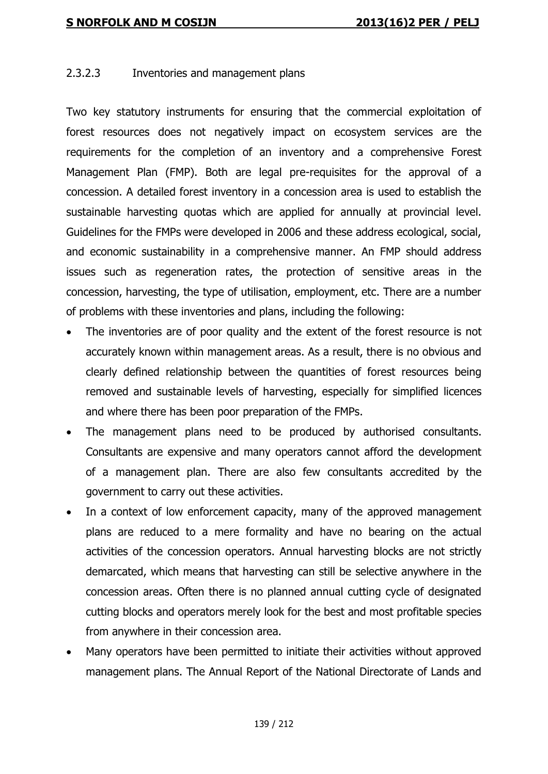### 2.3.2.3 Inventories and management plans

Two key statutory instruments for ensuring that the commercial exploitation of forest resources does not negatively impact on ecosystem services are the requirements for the completion of an inventory and a comprehensive Forest Management Plan (FMP). Both are legal pre-requisites for the approval of a concession. A detailed forest inventory in a concession area is used to establish the sustainable harvesting quotas which are applied for annually at provincial level. Guidelines for the FMPs were developed in 2006 and these address ecological, social, and economic sustainability in a comprehensive manner. An FMP should address issues such as regeneration rates, the protection of sensitive areas in the concession, harvesting, the type of utilisation, employment, etc. There are a number of problems with these inventories and plans, including the following:

- The inventories are of poor quality and the extent of the forest resource is not accurately known within management areas. As a result, there is no obvious and clearly defined relationship between the quantities of forest resources being removed and sustainable levels of harvesting, especially for simplified licences and where there has been poor preparation of the FMPs.
- The management plans need to be produced by authorised consultants. Consultants are expensive and many operators cannot afford the development of a management plan. There are also few consultants accredited by the government to carry out these activities.
- In a context of low enforcement capacity, many of the approved management plans are reduced to a mere formality and have no bearing on the actual activities of the concession operators. Annual harvesting blocks are not strictly demarcated, which means that harvesting can still be selective anywhere in the concession areas. Often there is no planned annual cutting cycle of designated cutting blocks and operators merely look for the best and most profitable species from anywhere in their concession area.
- Many operators have been permitted to initiate their activities without approved management plans. The Annual Report of the National Directorate of Lands and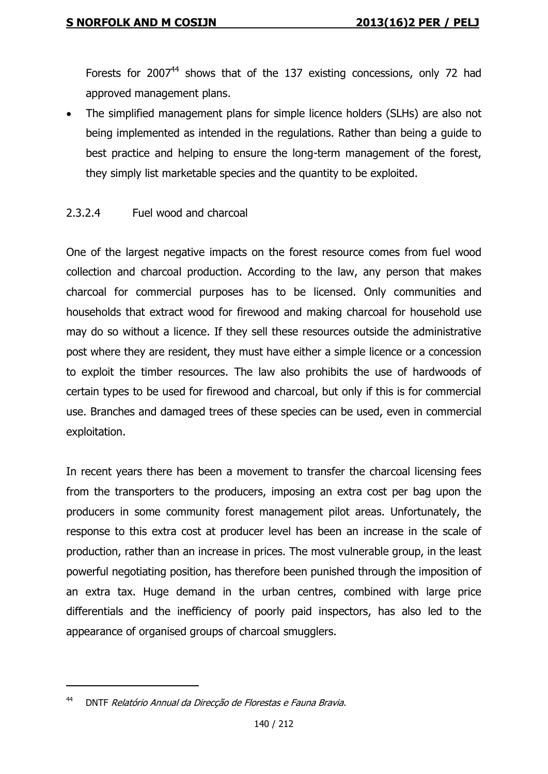Forests for 2007<sup>44</sup> shows that of the 137 existing concessions, only 72 had approved management plans.

 The simplified management plans for simple licence holders (SLHs) are also not being implemented as intended in the regulations. Rather than being a guide to best practice and helping to ensure the long-term management of the forest, they simply list marketable species and the quantity to be exploited.

### 2.3.2.4 Fuel wood and charcoal

One of the largest negative impacts on the forest resource comes from fuel wood collection and charcoal production. According to the law, any person that makes charcoal for commercial purposes has to be licensed. Only communities and households that extract wood for firewood and making charcoal for household use may do so without a licence. If they sell these resources outside the administrative post where they are resident, they must have either a simple licence or a concession to exploit the timber resources. The law also prohibits the use of hardwoods of certain types to be used for firewood and charcoal, but only if this is for commercial use. Branches and damaged trees of these species can be used, even in commercial exploitation.

In recent years there has been a movement to transfer the charcoal licensing fees from the transporters to the producers, imposing an extra cost per bag upon the producers in some community forest management pilot areas. Unfortunately, the response to this extra cost at producer level has been an increase in the scale of production, rather than an increase in prices. The most vulnerable group, in the least powerful negotiating position, has therefore been punished through the imposition of an extra tax. Huge demand in the urban centres, combined with large price differentials and the inefficiency of poorly paid inspectors, has also led to the appearance of organised groups of charcoal smugglers.

<sup>44</sup> DNTF Relatório Annual da Direcção de Florestas e Fauna Bravia.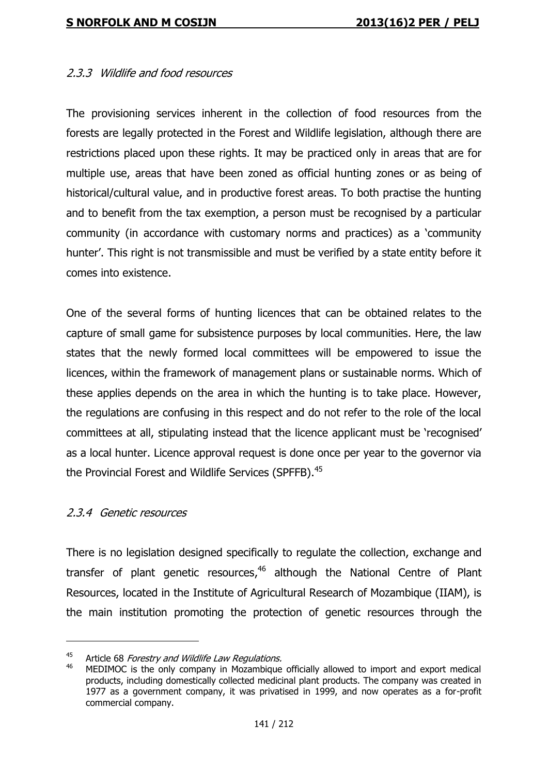### 2.3.3 Wildlife and food resources

The provisioning services inherent in the collection of food resources from the forests are legally protected in the Forest and Wildlife legislation, although there are restrictions placed upon these rights. It may be practiced only in areas that are for multiple use, areas that have been zoned as official hunting zones or as being of historical/cultural value, and in productive forest areas. To both practise the hunting and to benefit from the tax exemption, a person must be recognised by a particular community (in accordance with customary norms and practices) as a 'community hunter'. This right is not transmissible and must be verified by a state entity before it comes into existence.

One of the several forms of hunting licences that can be obtained relates to the capture of small game for subsistence purposes by local communities. Here, the law states that the newly formed local committees will be empowered to issue the licences, within the framework of management plans or sustainable norms. Which of these applies depends on the area in which the hunting is to take place. However, the regulations are confusing in this respect and do not refer to the role of the local committees at all, stipulating instead that the licence applicant must be 'recognised' as a local hunter. Licence approval request is done once per year to the governor via the Provincial Forest and Wildlife Services (SPFFB).<sup>45</sup>

### 2.3.4 Genetic resources

-

There is no legislation designed specifically to regulate the collection, exchange and transfer of plant genetic resources,<sup>46</sup> although the National Centre of Plant Resources, located in the Institute of Agricultural Research of Mozambique (IIAM), is the main institution promoting the protection of genetic resources through the

<sup>&</sup>lt;sup>45</sup> Article 68 *Forestry and Wildlife Law Regulations.* 

MEDIMOC is the only company in Mozambique officially allowed to import and export medical products, including domestically collected medicinal plant products. The company was created in 1977 as a government company, it was privatised in 1999, and now operates as a for-profit commercial company.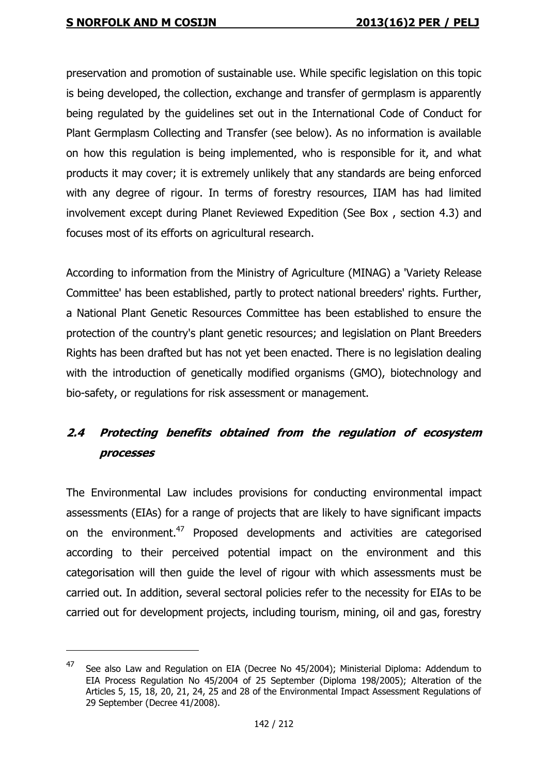preservation and promotion of sustainable use. While specific legislation on this topic is being developed, the collection, exchange and transfer of germplasm is apparently being regulated by the guidelines set out in the International Code of Conduct for Plant Germplasm Collecting and Transfer (see below). As no information is available on how this regulation is being implemented, who is responsible for it, and what products it may cover; it is extremely unlikely that any standards are being enforced with any degree of rigour. In terms of forestry resources, IIAM has had limited involvement except during Planet Reviewed Expedition (See [Box ,](#page-38-0) section 4.3) and focuses most of its efforts on agricultural research.

According to information from the Ministry of Agriculture (MINAG) a 'Variety Release Committee' has been established, partly to protect national breeders' rights. Further, a National Plant Genetic Resources Committee has been established to ensure the protection of the country's plant genetic resources; and legislation on Plant Breeders Rights has been drafted but has not yet been enacted. There is no legislation dealing with the introduction of genetically modified organisms (GMO), biotechnology and bio-safety, or regulations for risk assessment or management.

## **2.4 Protecting benefits obtained from the regulation of ecosystem processes**

The Environmental Law includes provisions for conducting environmental impact assessments (EIAs) for a range of projects that are likely to have significant impacts on the environment.<sup>47</sup> Proposed developments and activities are categorised according to their perceived potential impact on the environment and this categorisation will then guide the level of rigour with which assessments must be carried out. In addition, several sectoral policies refer to the necessity for EIAs to be carried out for development projects, including tourism, mining, oil and gas, forestry

<sup>&</sup>lt;sup>47</sup> See also Law and Regulation on EIA (Decree No 45/2004); Ministerial Diploma: Addendum to EIA Process Regulation No 45/2004 of 25 September (Diploma 198/2005); Alteration of the Articles 5, 15, 18, 20, 21, 24, 25 and 28 of the Environmental Impact Assessment Regulations of 29 September (Decree 41/2008).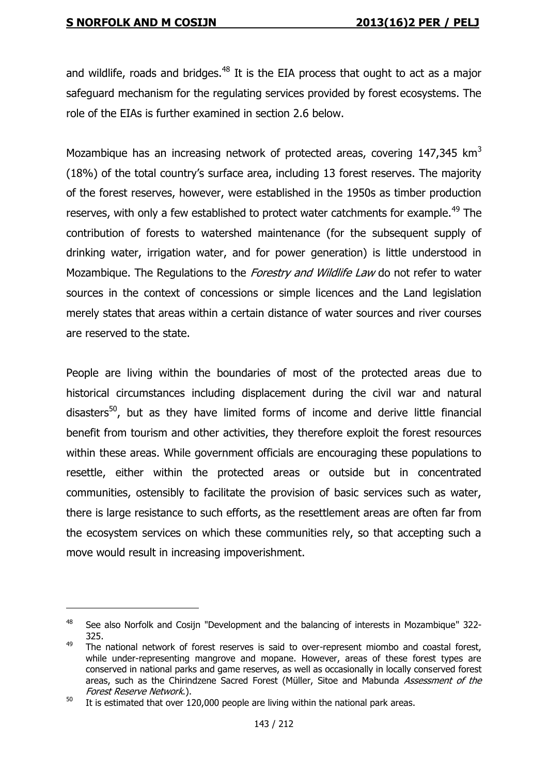and wildlife, roads and bridges.<sup>48</sup> It is the EIA process that ought to act as a major safeguard mechanism for the regulating services provided by forest ecosystems. The role of the EIAs is further examined in section [2.6](#page-25-0) below.

Mozambique has an increasing network of protected areas, covering  $147,345$  km<sup>3</sup> (18%) of the total country's surface area, including 13 forest reserves. The majority of the forest reserves, however, were established in the 1950s as timber production reserves, with only a few established to protect water catchments for example.<sup>49</sup> The contribution of forests to watershed maintenance (for the subsequent supply of drinking water, irrigation water, and for power generation) is little understood in Mozambique. The Regulations to the *Forestry and Wildlife Law* do not refer to water sources in the context of concessions or simple licences and the Land legislation merely states that areas within a certain distance of water sources and river courses are reserved to the state.

People are living within the boundaries of most of the protected areas due to historical circumstances including displacement during the civil war and natural disasters $50$ , but as they have limited forms of income and derive little financial benefit from tourism and other activities, they therefore exploit the forest resources within these areas. While government officials are encouraging these populations to resettle, either within the protected areas or outside but in concentrated communities, ostensibly to facilitate the provision of basic services such as water, there is large resistance to such efforts, as the resettlement areas are often far from the ecosystem services on which these communities rely, so that accepting such a move would result in increasing impoverishment.

<sup>48</sup> See also Norfolk and Cosijn "Development and the balancing of interests in Mozambique" 322-325.

 $49$  The national network of forest reserves is said to over-represent miombo and coastal forest, while under-representing mangrove and mopane. However, areas of these forest types are conserved in national parks and game reserves, as well as occasionally in locally conserved forest areas, such as the Chirindzene Sacred Forest (Müller, Sitoe and Mabunda *Assessment of the* Forest Reserve Network.).

 $50$  It is estimated that over 120,000 people are living within the national park areas.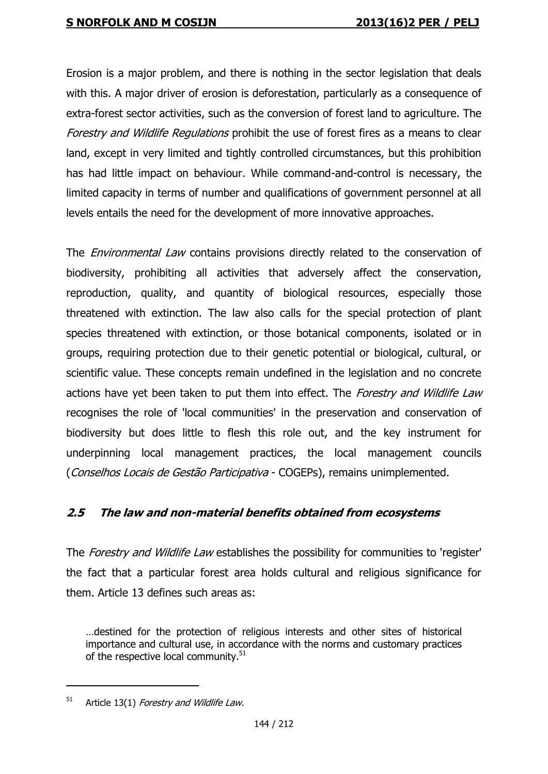Erosion is a major problem, and there is nothing in the sector legislation that deals with this. A major driver of erosion is deforestation, particularly as a consequence of extra-forest sector activities, such as the conversion of forest land to agriculture. The Forestry and Wildlife Regulations prohibit the use of forest fires as a means to clear land, except in very limited and tightly controlled circumstances, but this prohibition has had little impact on behaviour. While command-and-control is necessary, the limited capacity in terms of number and qualifications of government personnel at all levels entails the need for the development of more innovative approaches.

The *Environmental Law* contains provisions directly related to the conservation of biodiversity, prohibiting all activities that adversely affect the conservation, reproduction, quality, and quantity of biological resources, especially those threatened with extinction. The law also calls for the special protection of plant species threatened with extinction, or those botanical components, isolated or in groups, requiring protection due to their genetic potential or biological, cultural, or scientific value. These concepts remain undefined in the legislation and no concrete actions have yet been taken to put them into effect. The Forestry and Wildlife Law recognises the role of 'local communities' in the preservation and conservation of biodiversity but does little to flesh this role out, and the key instrument for underpinning local management practices, the local management councils (Conselhos Locais de Gestão Participativa - COGEPs), remains unimplemented.

### **2.5 The law and non-material benefits obtained from ecosystems**

The Forestry and Wildlife Law establishes the possibility for communities to 'register' the fact that a particular forest area holds cultural and religious significance for them. Article 13 defines such areas as:

…destined for the protection of religious interests and other sites of historical importance and cultural use, in accordance with the norms and customary practices of the respective local community.<sup>51</sup>

 $51$  Article 13(1) Forestry and Wildlife Law.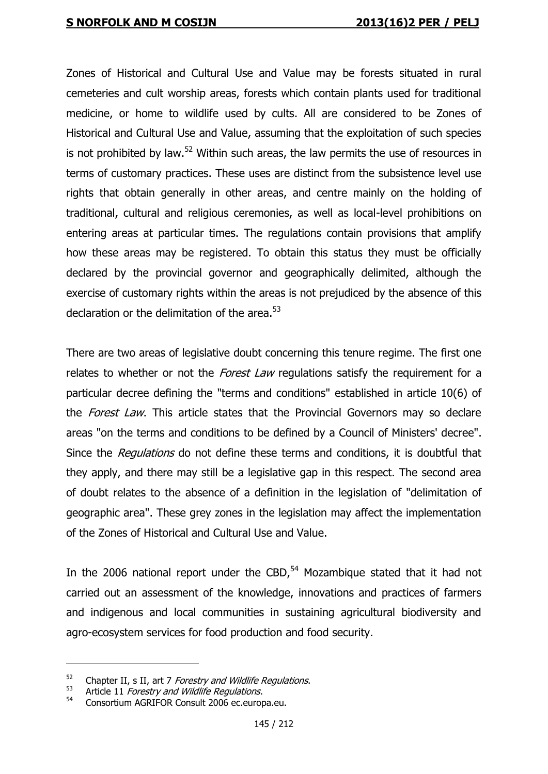Zones of Historical and Cultural Use and Value may be forests situated in rural cemeteries and cult worship areas, forests which contain plants used for traditional medicine, or home to wildlife used by cults. All are considered to be Zones of Historical and Cultural Use and Value, assuming that the exploitation of such species is not prohibited by law.<sup>52</sup> Within such areas, the law permits the use of resources in terms of customary practices. These uses are distinct from the subsistence level use rights that obtain generally in other areas, and centre mainly on the holding of traditional, cultural and religious ceremonies, as well as local-level prohibitions on entering areas at particular times. The regulations contain provisions that amplify how these areas may be registered. To obtain this status they must be officially declared by the provincial governor and geographically delimited, although the exercise of customary rights within the areas is not prejudiced by the absence of this declaration or the delimitation of the area. $53$ 

There are two areas of legislative doubt concerning this tenure regime. The first one relates to whether or not the *Forest Law* regulations satisfy the requirement for a particular decree defining the "terms and conditions" established in article 10(6) of the Forest Law. This article states that the Provincial Governors may so declare areas "on the terms and conditions to be defined by a Council of Ministers' decree". Since the *Regulations* do not define these terms and conditions, it is doubtful that they apply, and there may still be a legislative gap in this respect. The second area of doubt relates to the absence of a definition in the legislation of "delimitation of geographic area". These grey zones in the legislation may affect the implementation of the Zones of Historical and Cultural Use and Value.

In the 2006 national report under the CBD, $54$  Mozambique stated that it had not carried out an assessment of the knowledge, innovations and practices of farmers and indigenous and local communities in sustaining agricultural biodiversity and agro-ecosystem services for food production and food security.

<sup>&</sup>lt;sup>52</sup> Chapter II, s II, art 7 *Forestry and Wildlife Regulations*.

 $^{53}$  Article 11 *Forestry and Wildlife Regulations.*<br> $^{54}$  Consertium ACRIEOR Consult 2006 as sure:

<sup>54</sup> Consortium AGRIFOR Consult 2006 ec.europa.eu.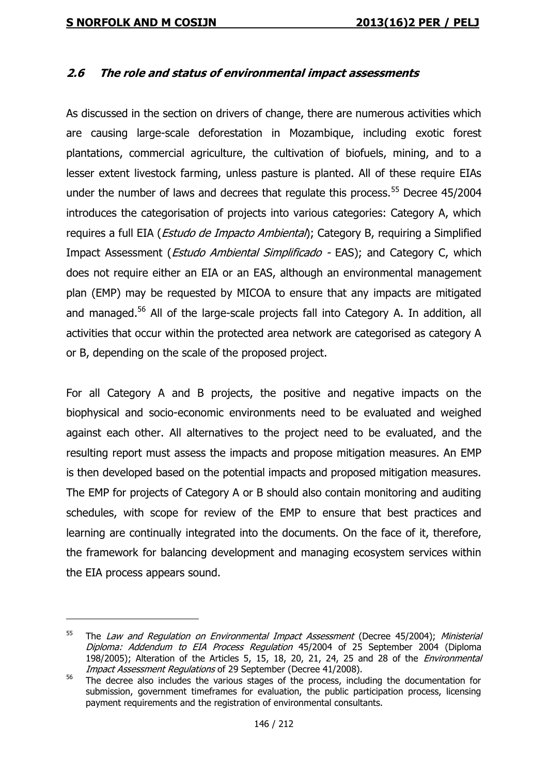### <span id="page-25-0"></span>**2.6 The role and status of environmental impact assessments**

As discussed in the section on drivers of change, there are numerous activities which are causing large-scale deforestation in Mozambique, including exotic forest plantations, commercial agriculture, the cultivation of biofuels, mining, and to a lesser extent livestock farming, unless pasture is planted. All of these require EIAs under the number of laws and decrees that regulate this process.<sup>55</sup> Decree 45/2004 introduces the categorisation of projects into various categories: Category A, which requires a full EIA (*Estudo de Impacto Ambiental*); Category B, requiring a Simplified Impact Assessment (*Estudo Ambiental Simplificado -* EAS); and Category C, which does not require either an EIA or an EAS, although an environmental management plan (EMP) may be requested by MICOA to ensure that any impacts are mitigated and managed.<sup>56</sup> All of the large-scale projects fall into Category A. In addition, all activities that occur within the protected area network are categorised as category A or B, depending on the scale of the proposed project.

For all Category A and B projects, the positive and negative impacts on the biophysical and socio-economic environments need to be evaluated and weighed against each other. All alternatives to the project need to be evaluated, and the resulting report must assess the impacts and propose mitigation measures. An EMP is then developed based on the potential impacts and proposed mitigation measures. The EMP for projects of Category A or B should also contain monitoring and auditing schedules, with scope for review of the EMP to ensure that best practices and learning are continually integrated into the documents. On the face of it, therefore, the framework for balancing development and managing ecosystem services within the EIA process appears sound.

<sup>&</sup>lt;sup>55</sup> The Law and Regulation on Environmental Impact Assessment (Decree 45/2004); Ministerial Diploma: Addendum to EIA Process Regulation 45/2004 of 25 September 2004 (Diploma 198/2005); Alteration of the Articles 5, 15, 18, 20, 21, 24, 25 and 28 of the *Environmental* Impact Assessment Regulations of 29 September (Decree 41/2008).

 $56$  The decree also includes the various stages of the process, including the documentation for submission, government timeframes for evaluation, the public participation process, licensing payment requirements and the registration of environmental consultants.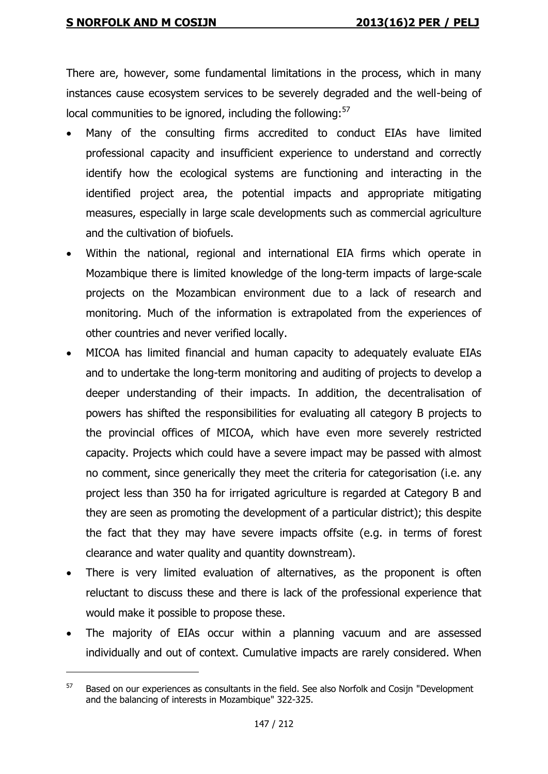There are, however, some fundamental limitations in the process, which in many instances cause ecosystem services to be severely degraded and the well-being of local communities to be ignored, including the following: $57$ 

- Many of the consulting firms accredited to conduct EIAs have limited professional capacity and insufficient experience to understand and correctly identify how the ecological systems are functioning and interacting in the identified project area, the potential impacts and appropriate mitigating measures, especially in large scale developments such as commercial agriculture and the cultivation of biofuels.
- Within the national, regional and international EIA firms which operate in Mozambique there is limited knowledge of the long-term impacts of large-scale projects on the Mozambican environment due to a lack of research and monitoring. Much of the information is extrapolated from the experiences of other countries and never verified locally.
- MICOA has limited financial and human capacity to adequately evaluate EIAs and to undertake the long-term monitoring and auditing of projects to develop a deeper understanding of their impacts. In addition, the decentralisation of powers has shifted the responsibilities for evaluating all category B projects to the provincial offices of MICOA, which have even more severely restricted capacity. Projects which could have a severe impact may be passed with almost no comment, since generically they meet the criteria for categorisation (i.e. any project less than 350 ha for irrigated agriculture is regarded at Category B and they are seen as promoting the development of a particular district); this despite the fact that they may have severe impacts offsite (e.g. in terms of forest clearance and water quality and quantity downstream).
- There is very limited evaluation of alternatives, as the proponent is often reluctant to discuss these and there is lack of the professional experience that would make it possible to propose these.
- The majority of EIAs occur within a planning vacuum and are assessed individually and out of context. Cumulative impacts are rarely considered. When

 $57$  Based on our experiences as consultants in the field. See also Norfolk and Cosijn "Development" and the balancing of interests in Mozambique" 322-325.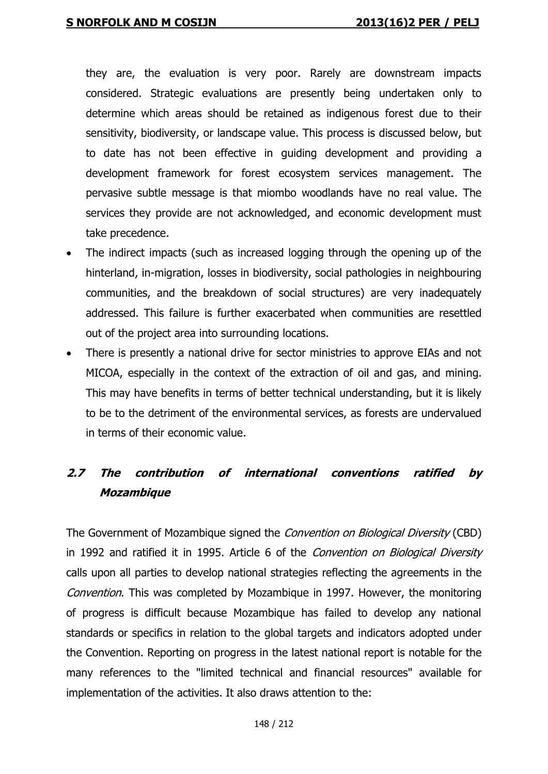they are, the evaluation is very poor. Rarely are downstream impacts considered. Strategic evaluations are presently being undertaken only to determine which areas should be retained as indigenous forest due to their sensitivity, biodiversity, or landscape value. This process is discussed below, but to date has not been effective in guiding development and providing a development framework for forest ecosystem services management. The pervasive subtle message is that miombo woodlands have no real value. The services they provide are not acknowledged, and economic development must take precedence.

- The indirect impacts (such as increased logging through the opening up of the hinterland, in-migration, losses in biodiversity, social pathologies in neighbouring communities, and the breakdown of social structures) are very inadequately addressed. This failure is further exacerbated when communities are resettled out of the project area into surrounding locations.
- There is presently a national drive for sector ministries to approve EIAs and not MICOA, especially in the context of the extraction of oil and gas, and mining. This may have benefits in terms of better technical understanding, but it is likely to be to the detriment of the environmental services, as forests are undervalued in terms of their economic value.

## **2.7 The contribution of international conventions ratified by Mozambique**

The Government of Mozambique signed the *Convention on Biological Diversity* (CBD) in 1992 and ratified it in 1995. Article 6 of the Convention on Biological Diversity calls upon all parties to develop national strategies reflecting the agreements in the Convention. This was completed by Mozambique in 1997. However, the monitoring of progress is difficult because Mozambique has failed to develop any national standards or specifics in relation to the global targets and indicators adopted under the Convention. Reporting on progress in the latest national report is notable for the many references to the "limited technical and financial resources" available for implementation of the activities. It also draws attention to the: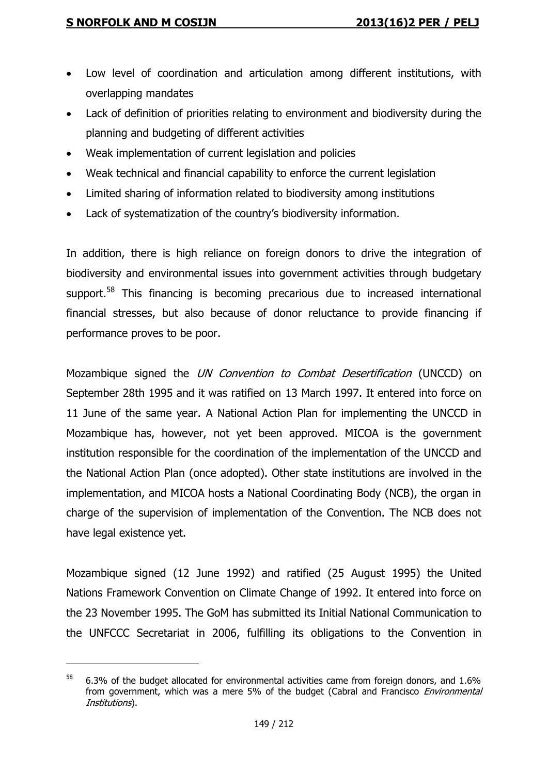- Low level of coordination and articulation among different institutions, with overlapping mandates
- Lack of definition of priorities relating to environment and biodiversity during the planning and budgeting of different activities
- Weak implementation of current legislation and policies
- Weak technical and financial capability to enforce the current legislation
- Limited sharing of information related to biodiversity among institutions
- Lack of systematization of the country's biodiversity information.

In addition, there is high reliance on foreign donors to drive the integration of biodiversity and environmental issues into government activities through budgetary support.<sup>58</sup> This financing is becoming precarious due to increased international financial stresses, but also because of donor reluctance to provide financing if performance proves to be poor.

Mozambique signed the *UN Convention to Combat Desertification* (UNCCD) on September 28th 1995 and it was ratified on 13 March 1997. It entered into force on 11 June of the same year. A National Action Plan for implementing the UNCCD in Mozambique has, however, not yet been approved. MICOA is the government institution responsible for the coordination of the implementation of the UNCCD and the National Action Plan (once adopted). Other state institutions are involved in the implementation, and MICOA hosts a National Coordinating Body (NCB), the organ in charge of the supervision of implementation of the Convention. The NCB does not have legal existence yet.

Mozambique signed (12 June 1992) and ratified (25 August 1995) the United Nations Framework Convention on Climate Change of 1992. It entered into force on the 23 November 1995. The GoM has submitted its Initial National Communication to the UNFCCC Secretariat in 2006, fulfilling its obligations to the Convention in

 $58$  6.3% of the budget allocated for environmental activities came from foreign donors, and 1.6% from government, which was a mere 5% of the budget (Cabral and Francisco *Environmental* Institutions).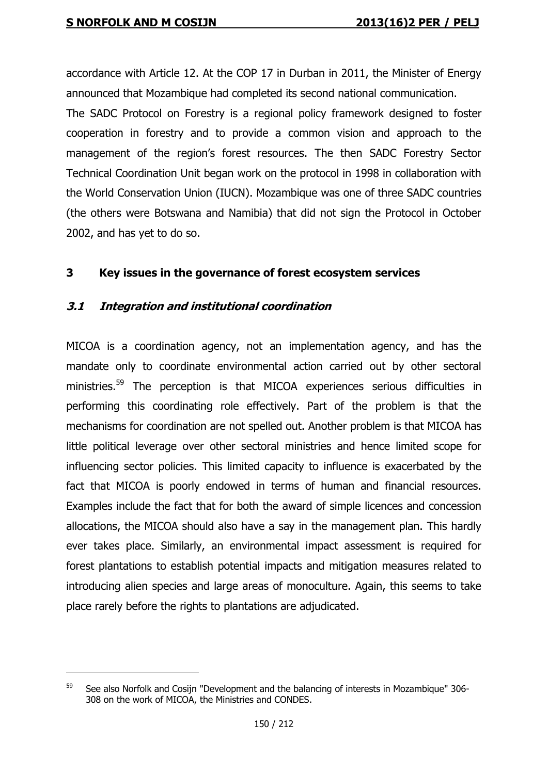accordance with Article 12. At the COP 17 in Durban in 2011, the Minister of Energy announced that Mozambique had completed its second national communication.

The SADC Protocol on Forestry is a regional policy framework designed to foster cooperation in forestry and to provide a common vision and approach to the management of the region's forest resources. The then SADC Forestry Sector Technical Coordination Unit began work on the protocol in 1998 in collaboration with the World Conservation Union (IUCN). Mozambique was one of three SADC countries (the others were Botswana and Namibia) that did not sign the Protocol in October 2002, and has yet to do so.

### **3 Key issues in the governance of forest ecosystem services**

### **3.1 Integration and institutional coordination**

MICOA is a coordination agency, not an implementation agency, and has the mandate only to coordinate environmental action carried out by other sectoral ministries.<sup>59</sup> The perception is that MICOA experiences serious difficulties in performing this coordinating role effectively. Part of the problem is that the mechanisms for coordination are not spelled out. Another problem is that MICOA has little political leverage over other sectoral ministries and hence limited scope for influencing sector policies. This limited capacity to influence is exacerbated by the fact that MICOA is poorly endowed in terms of human and financial resources. Examples include the fact that for both the award of simple licences and concession allocations, the MICOA should also have a say in the management plan. This hardly ever takes place. Similarly, an environmental impact assessment is required for forest plantations to establish potential impacts and mitigation measures related to introducing alien species and large areas of monoculture. Again, this seems to take place rarely before the rights to plantations are adjudicated.

 $59$  See also Norfolk and Cosijn "Development and the balancing of interests in Mozambique" 306-308 on the work of MICOA, the Ministries and CONDES.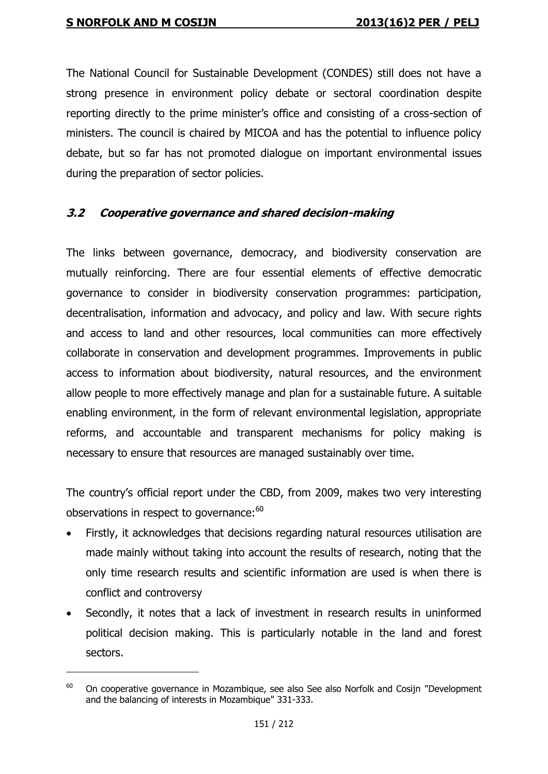The National Council for Sustainable Development (CONDES) still does not have a strong presence in environment policy debate or sectoral coordination despite reporting directly to the prime minister's office and consisting of a cross-section of ministers. The council is chaired by MICOA and has the potential to influence policy debate, but so far has not promoted dialogue on important environmental issues during the preparation of sector policies.

### **3.2 Cooperative governance and shared decision-making**

The links between governance, democracy, and biodiversity conservation are mutually reinforcing. There are four essential elements of effective democratic governance to consider in biodiversity conservation programmes: participation, decentralisation, information and advocacy, and policy and law. With secure rights and access to land and other resources, local communities can more effectively collaborate in conservation and development programmes. Improvements in public access to information about biodiversity, natural resources, and the environment allow people to more effectively manage and plan for a sustainable future. A suitable enabling environment, in the form of relevant environmental legislation, appropriate reforms, and accountable and transparent mechanisms for policy making is necessary to ensure that resources are managed sustainably over time.

The country's official report under the CBD, from 2009, makes two very interesting observations in respect to governance:<sup>60</sup>

- Firstly, it acknowledges that decisions regarding natural resources utilisation are made mainly without taking into account the results of research, noting that the only time research results and scientific information are used is when there is conflict and controversy
- Secondly, it notes that a lack of investment in research results in uninformed political decision making. This is particularly notable in the land and forest sectors.

 $60$  On cooperative governance in Mozambique, see also See also Norfolk and Cosijn "Development and the balancing of interests in Mozambique" 331-333.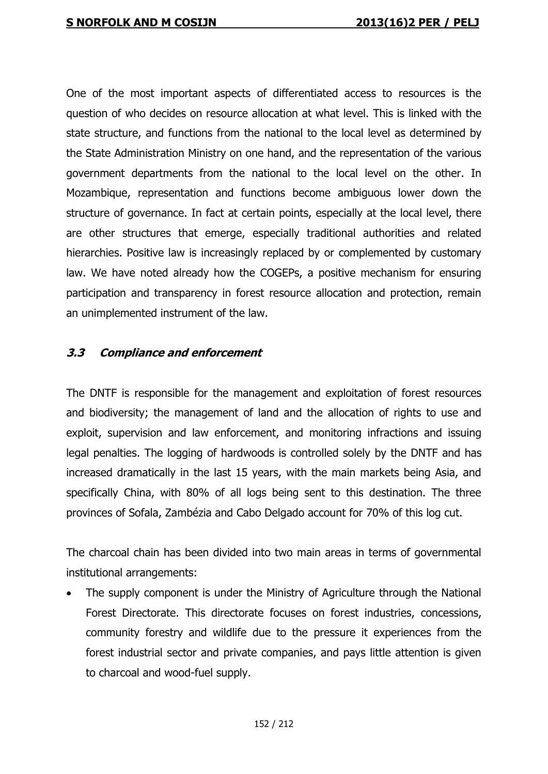One of the most important aspects of differentiated access to resources is the question of who decides on resource allocation at what level. This is linked with the state structure, and functions from the national to the local level as determined by the State Administration Ministry on one hand, and the representation of the various government departments from the national to the local level on the other. In Mozambique, representation and functions become ambiguous lower down the structure of governance. In fact at certain points, especially at the local level, there are other structures that emerge, especially traditional authorities and related hierarchies. Positive law is increasingly replaced by or complemented by customary law. We have noted already how the COGEPs, a positive mechanism for ensuring participation and transparency in forest resource allocation and protection, remain an unimplemented instrument of the law.

### **3.3 Compliance and enforcement**

The DNTF is responsible for the management and exploitation of forest resources and biodiversity; the management of land and the allocation of rights to use and exploit, supervision and law enforcement, and monitoring infractions and issuing legal penalties. The logging of hardwoods is controlled solely by the DNTF and has increased dramatically in the last 15 years, with the main markets being Asia, and specifically China, with 80% of all logs being sent to this destination. The three provinces of Sofala, Zambézia and Cabo Delgado account for 70% of this log cut.

The charcoal chain has been divided into two main areas in terms of governmental institutional arrangements:

 The supply component is under the Ministry of Agriculture through the National Forest Directorate. This directorate focuses on forest industries, concessions, community forestry and wildlife due to the pressure it experiences from the forest industrial sector and private companies, and pays little attention is given to charcoal and wood-fuel supply.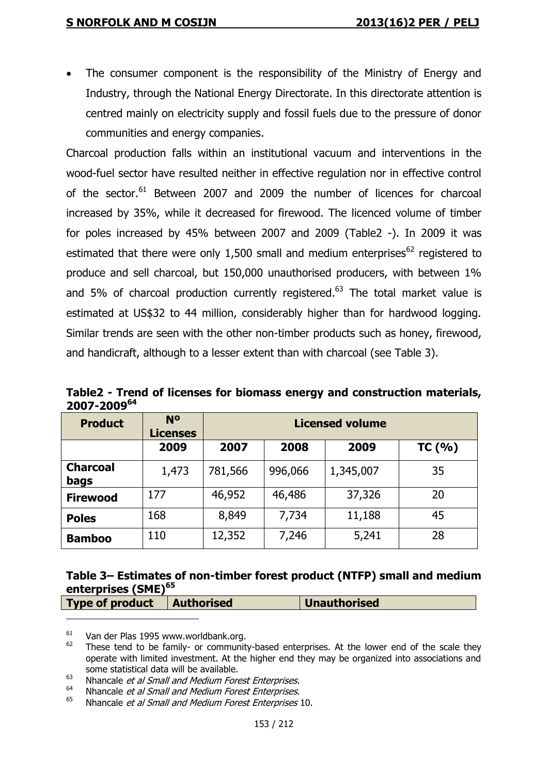The consumer component is the responsibility of the Ministry of Energy and Industry, through the National Energy Directorate. In this directorate attention is centred mainly on electricity supply and fossil fuels due to the pressure of donor communities and energy companies.

Charcoal production falls within an institutional vacuum and interventions in the wood-fuel sector have resulted neither in effective regulation nor in effective control of the sector.<sup>61</sup> Between 2007 and 2009 the number of licences for charcoal increased by 35%, while it decreased for firewood. The licenced volume of timber for poles increased by 45% between 2007 and 2009 [\(Table2](#page-32-0) -). In 2009 it was estimated that there were only 1,500 small and medium enterprises $62$  registered to produce and sell charcoal, but 150,000 unauthorised producers, with between 1% and 5% of charcoal production currently registered.<sup>63</sup> The total market value is estimated at US\$32 to 44 million, considerably higher than for hardwood logging. Similar trends are seen with the other non-timber products such as honey, firewood, and handicraft, although to a lesser extent than with charcoal (see [Table 3\)](#page-32-1).

| <b>Product</b>          | <b>No</b><br><b>Licenses</b> | <b>Licensed volume</b> |         |           |       |
|-------------------------|------------------------------|------------------------|---------|-----------|-------|
|                         | 2009                         | 2007                   | 2008    | 2009      | TC(%) |
| <b>Charcoal</b><br>bags | 1,473                        | 781,566                | 996,066 | 1,345,007 | 35    |
| <b>Firewood</b>         | 177                          | 46,952                 | 46,486  | 37,326    | 20    |
| <b>Poles</b>            | 168                          | 8,849                  | 7,734   | 11,188    | 45    |
| <b>Bamboo</b>           | 110                          | 12,352                 | 7,246   | 5,241     | 28    |

<span id="page-32-0"></span>**Table2 - Trend of licenses for biomass energy and construction materials, 2007-2009<sup>64</sup>**

### <span id="page-32-1"></span>**Table 3– Estimates of non-timber forest product (NTFP) small and medium enterprises (SME)<sup>65</sup> Type of product Authorised Unauthorised**

|--|

 $61$  Van der Plas 1995 www.worldbank.org.

<u>.</u>

 $^{64}$  Nhancale *et al Small and Medium Forest Enterprises.*<br> $^{65}$  Nhancale *et al Small and Medium Forest Enterprises*.

Nhancale et al Small and Medium Forest Enterprises 10.

 $62$  These tend to be family- or community-based enterprises. At the lower end of the scale they operate with limited investment. At the higher end they may be organized into associations and some statistical data will be available.

 $^{63}$  Nhancale *et al Small and Medium Forest Enterprises*.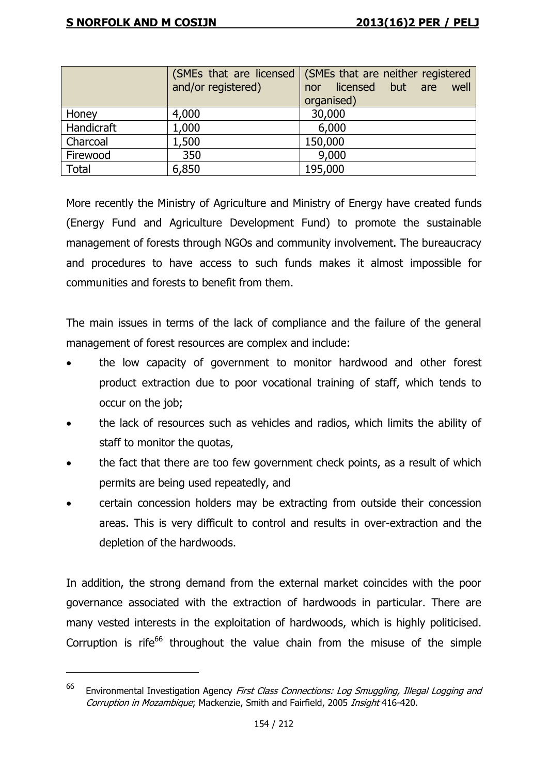-

|              |                    | (SMEs that are licensed   (SMEs that are neither registered |
|--------------|--------------------|-------------------------------------------------------------|
|              | and/or registered) | licensed but are<br>well<br>nor                             |
|              |                    | organised)                                                  |
| Honey        | 4,000              | 30,000                                                      |
| Handicraft   | 1,000              | 6,000                                                       |
| Charcoal     | 1,500              | 150,000                                                     |
| Firewood     | 350                | 9,000                                                       |
| <b>Total</b> | 6,850              | 195,000                                                     |

More recently the Ministry of Agriculture and Ministry of Energy have created funds (Energy Fund and Agriculture Development Fund) to promote the sustainable management of forests through NGOs and community involvement. The bureaucracy and procedures to have access to such funds makes it almost impossible for communities and forests to benefit from them.

The main issues in terms of the lack of compliance and the failure of the general management of forest resources are complex and include:

- the low capacity of government to monitor hardwood and other forest product extraction due to poor vocational training of staff, which tends to occur on the job;
- the lack of resources such as vehicles and radios, which limits the ability of staff to monitor the quotas,
- the fact that there are too few government check points, as a result of which permits are being used repeatedly, and
- certain concession holders may be extracting from outside their concession areas. This is very difficult to control and results in over-extraction and the depletion of the hardwoods.

In addition, the strong demand from the external market coincides with the poor governance associated with the extraction of hardwoods in particular. There are many vested interests in the exploitation of hardwoods, which is highly politicised. Corruption is rife<sup>66</sup> throughout the value chain from the misuse of the simple

<sup>&</sup>lt;sup>66</sup> Environmental Investigation Agency First Class Connections: Log Smuggling, Illegal Logging and Corruption in Mozambique; Mackenzie, Smith and Fairfield, 2005 Insight 416-420.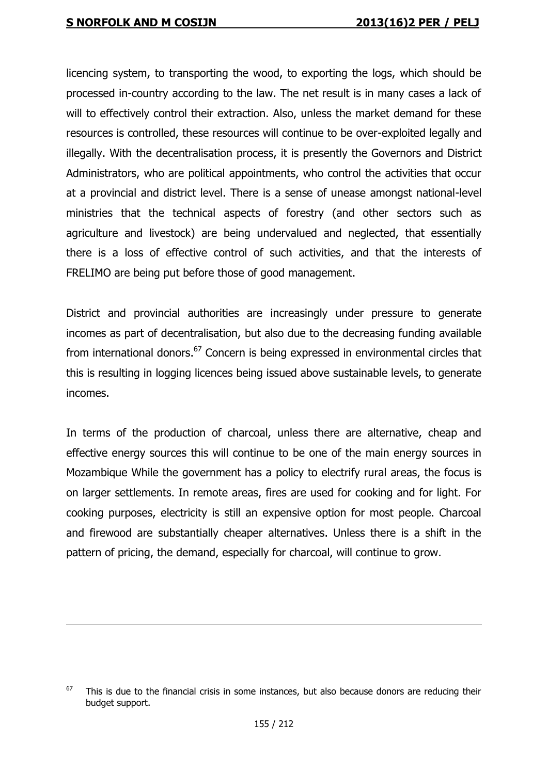licencing system, to transporting the wood, to exporting the logs, which should be processed in-country according to the law. The net result is in many cases a lack of will to effectively control their extraction. Also, unless the market demand for these resources is controlled, these resources will continue to be over-exploited legally and illegally. With the decentralisation process, it is presently the Governors and District Administrators, who are political appointments, who control the activities that occur at a provincial and district level. There is a sense of unease amongst national-level ministries that the technical aspects of forestry (and other sectors such as agriculture and livestock) are being undervalued and neglected, that essentially there is a loss of effective control of such activities, and that the interests of FRELIMO are being put before those of good management.

District and provincial authorities are increasingly under pressure to generate incomes as part of decentralisation, but also due to the decreasing funding available from international donors.<sup>67</sup> Concern is being expressed in environmental circles that this is resulting in logging licences being issued above sustainable levels, to generate incomes.

In terms of the production of charcoal, unless there are alternative, cheap and effective energy sources this will continue to be one of the main energy sources in Mozambique While the government has a policy to electrify rural areas, the focus is on larger settlements. In remote areas, fires are used for cooking and for light. For cooking purposes, electricity is still an expensive option for most people. Charcoal and firewood are substantially cheaper alternatives. Unless there is a shift in the pattern of pricing, the demand, especially for charcoal, will continue to grow.

 $67$  This is due to the financial crisis in some instances, but also because donors are reducing their budget support.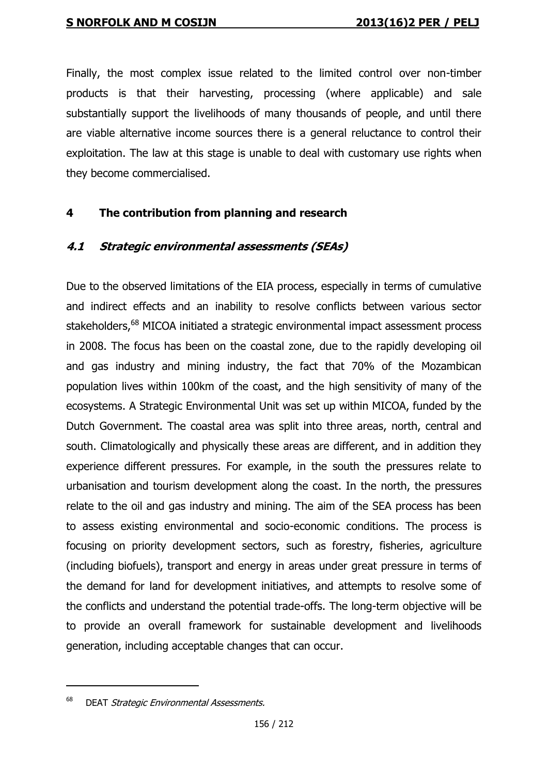Finally, the most complex issue related to the limited control over non-timber products is that their harvesting, processing (where applicable) and sale substantially support the livelihoods of many thousands of people, and until there are viable alternative income sources there is a general reluctance to control their exploitation. The law at this stage is unable to deal with customary use rights when they become commercialised.

### **4 The contribution from planning and research**

### **4.1 Strategic environmental assessments (SEAs)**

Due to the observed limitations of the EIA process, especially in terms of cumulative and indirect effects and an inability to resolve conflicts between various sector stakeholders,<sup>68</sup> MICOA initiated a strategic environmental impact assessment process in 2008. The focus has been on the coastal zone, due to the rapidly developing oil and gas industry and mining industry, the fact that 70% of the Mozambican population lives within 100km of the coast, and the high sensitivity of many of the ecosystems. A Strategic Environmental Unit was set up within MICOA, funded by the Dutch Government. The coastal area was split into three areas, north, central and south. Climatologically and physically these areas are different, and in addition they experience different pressures. For example, in the south the pressures relate to urbanisation and tourism development along the coast. In the north, the pressures relate to the oil and gas industry and mining. The aim of the SEA process has been to assess existing environmental and socio-economic conditions. The process is focusing on priority development sectors, such as forestry, fisheries, agriculture (including biofuels), transport and energy in areas under great pressure in terms of the demand for land for development initiatives, and attempts to resolve some of the conflicts and understand the potential trade-offs. The long-term objective will be to provide an overall framework for sustainable development and livelihoods generation, including acceptable changes that can occur.

<sup>&</sup>lt;sup>68</sup> DEAT Strategic Environmental Assessments.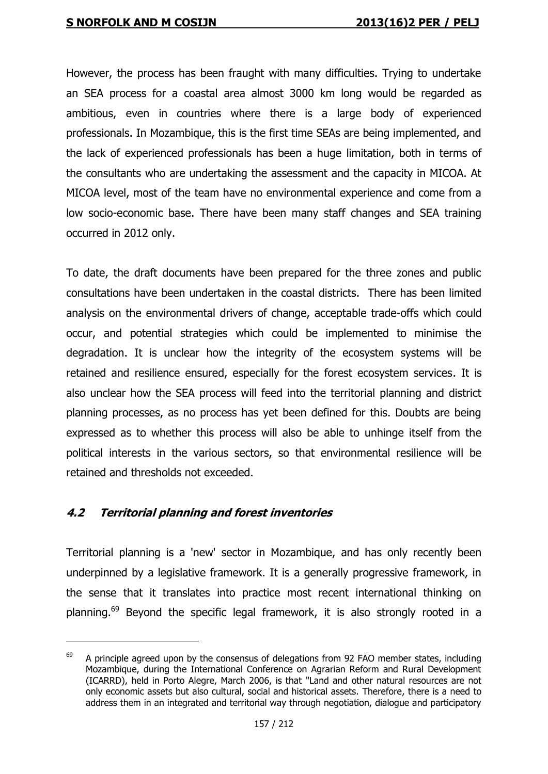However, the process has been fraught with many difficulties. Trying to undertake an SEA process for a coastal area almost 3000 km long would be regarded as ambitious, even in countries where there is a large body of experienced professionals. In Mozambique, this is the first time SEAs are being implemented, and the lack of experienced professionals has been a huge limitation, both in terms of the consultants who are undertaking the assessment and the capacity in MICOA. At MICOA level, most of the team have no environmental experience and come from a low socio-economic base. There have been many staff changes and SEA training occurred in 2012 only.

To date, the draft documents have been prepared for the three zones and public consultations have been undertaken in the coastal districts. There has been limited analysis on the environmental drivers of change, acceptable trade-offs which could occur, and potential strategies which could be implemented to minimise the degradation. It is unclear how the integrity of the ecosystem systems will be retained and resilience ensured, especially for the forest ecosystem services. It is also unclear how the SEA process will feed into the territorial planning and district planning processes, as no process has yet been defined for this. Doubts are being expressed as to whether this process will also be able to unhinge itself from the political interests in the various sectors, so that environmental resilience will be retained and thresholds not exceeded.

### **4.2 Territorial planning and forest inventories**

-

Territorial planning is a 'new' sector in Mozambique, and has only recently been underpinned by a legislative framework. It is a generally progressive framework, in the sense that it translates into practice most recent international thinking on planning.<sup>69</sup> Beyond the specific legal framework, it is also strongly rooted in a

 $69$  A principle agreed upon by the consensus of delegations from 92 FAO member states, including Mozambique, during the International Conference on Agrarian Reform and Rural Development (ICARRD), held in Porto Alegre, March 2006, is that "Land and other natural resources are not only economic assets but also cultural, social and historical assets. Therefore, there is a need to address them in an integrated and territorial way through negotiation, dialogue and participatory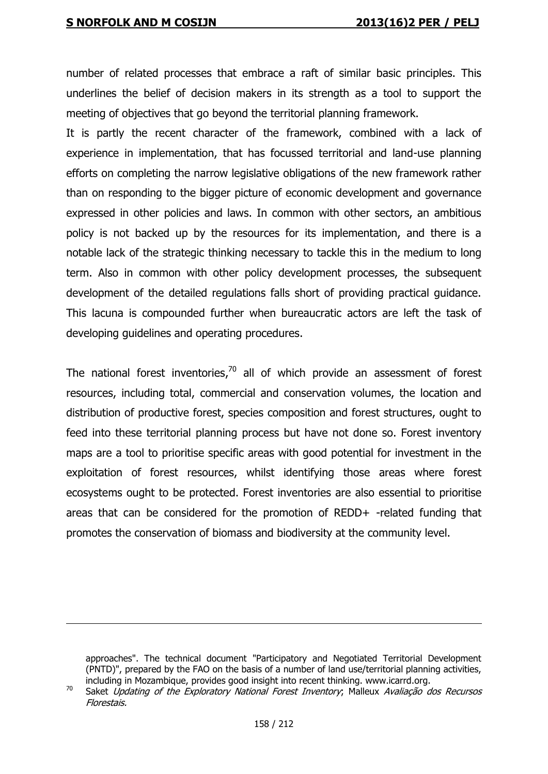-

number of related processes that embrace a raft of similar basic principles. This underlines the belief of decision makers in its strength as a tool to support the meeting of objectives that go beyond the territorial planning framework.

It is partly the recent character of the framework, combined with a lack of experience in implementation, that has focussed territorial and land-use planning efforts on completing the narrow legislative obligations of the new framework rather than on responding to the bigger picture of economic development and governance expressed in other policies and laws. In common with other sectors, an ambitious policy is not backed up by the resources for its implementation, and there is a notable lack of the strategic thinking necessary to tackle this in the medium to long term. Also in common with other policy development processes, the subsequent development of the detailed regulations falls short of providing practical guidance. This lacuna is compounded further when bureaucratic actors are left the task of developing guidelines and operating procedures.

The national forest inventories, $70$  all of which provide an assessment of forest resources, including total, commercial and conservation volumes, the location and distribution of productive forest, species composition and forest structures, ought to feed into these territorial planning process but have not done so. Forest inventory maps are a tool to prioritise specific areas with good potential for investment in the exploitation of forest resources, whilst identifying those areas where forest ecosystems ought to be protected. Forest inventories are also essential to prioritise areas that can be considered for the promotion of REDD+ -related funding that promotes the conservation of biomass and biodiversity at the community level.

approaches". The technical document "Participatory and Negotiated Territorial Development (PNTD)", prepared by the FAO on the basis of a number of land use/territorial planning activities, including in Mozambique, provides good insight into recent thinking. www.icarrd.org.

 $70$  Saket Updating of the Exploratory National Forest Inventory; Malleux Avaliação dos Recursos Florestais.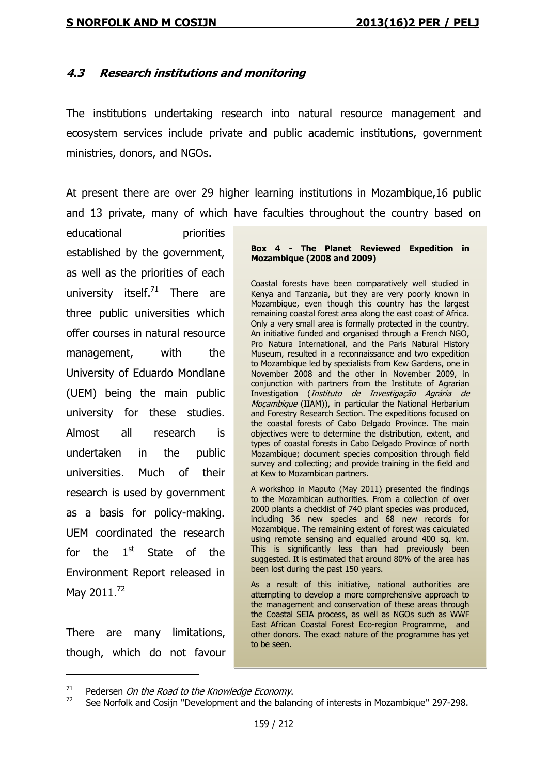### **4.3 Research institutions and monitoring**

The institutions undertaking research into natural resource management and ecosystem services include private and public academic institutions, government ministries, donors, and NGOs.

At present there are over 29 higher learning institutions in Mozambique,16 public and 13 private, many of which have faculties throughout the country based on

educational priorities established by the government, as well as the priorities of each university itself.<sup>71</sup> There are three public universities which offer courses in natural resource management, with the University of Eduardo Mondlane (UEM) being the main public university for these studies. Almost all research is undertaken in the public universities. Much of their research is used by government as a basis for policy-making. UEM coordinated the research for the  $1<sup>st</sup>$  State of the Environment Report released in May 2011.<sup>72</sup>

There are many limitations, though, which do not favour

<u>.</u>

#### <span id="page-38-0"></span>**Box 4 - The Planet Reviewed Expedition in Mozambique (2008 and 2009)**

Coastal forests have been comparatively well studied in Kenya and Tanzania, but they are very poorly known in Mozambique, even though this country has the largest remaining coastal forest area along the east coast of Africa. Only a very small area is formally protected in the country. An initiative funded and organised through a French NGO, Pro Natura International, and the Paris Natural History Museum, resulted in a reconnaissance and two expedition to Mozambique led by specialists from Kew Gardens, one in November 2008 and the other in November 2009, in conjunction with partners from the Institute of Agrarian Investigation (Instituto de Investigação Agrária de Moçambique (IIAM)), in particular the National Herbarium and Forestry Research Section. The expeditions focused on the coastal forests of Cabo Delgado Province. The main objectives were to determine the distribution, extent, and types of coastal forests in Cabo Delgado Province of north Mozambique; document species composition through field survey and collecting; and provide training in the field and at Kew to Mozambican partners.

A workshop in Maputo (May 2011) presented the findings to the Mozambican authorities. From a collection of over 2000 plants a checklist of 740 plant species was produced, including 36 new species and 68 new records for Mozambique. The remaining extent of forest was calculated using remote sensing and equalled around 400 sq. km. This is significantly less than had previously been suggested. It is estimated that around 80% of the area has been lost during the past 150 years.

As a result of this initiative, national authorities are attempting to develop a more comprehensive approach to the management and conservation of these areas through the Coastal SEIA process, as well as NGOs such as WWF East African Coastal Forest Eco-region Programme, and other donors. The exact nature of the programme has yet to be seen.

<sup>&</sup>lt;sup>71</sup> Pedersen *On the Road to the Knowledge Economy*.<br> $72$  See Norfolk and Cosiin "Development and the balan

<sup>72</sup> See Norfolk and Cosijn "Development and the balancing of interests in Mozambique" 297-298.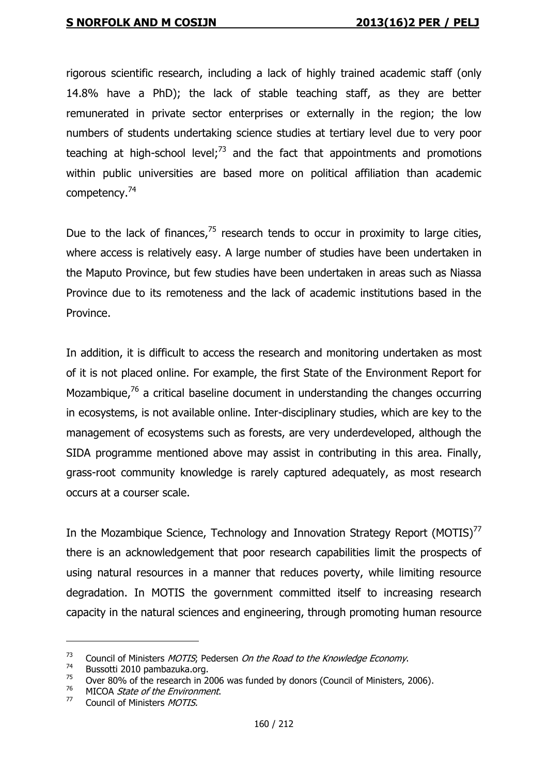rigorous scientific research, including a lack of highly trained academic staff (only 14.8% have a PhD); the lack of stable teaching staff, as they are better remunerated in private sector enterprises or externally in the region; the low numbers of students undertaking science studies at tertiary level due to very poor teaching at high-school level;<sup>73</sup> and the fact that appointments and promotions within public universities are based more on political affiliation than academic competency.<sup>74</sup>

Due to the lack of finances,  $75$  research tends to occur in proximity to large cities, where access is relatively easy. A large number of studies have been undertaken in the Maputo Province, but few studies have been undertaken in areas such as Niassa Province due to its remoteness and the lack of academic institutions based in the Province.

In addition, it is difficult to access the research and monitoring undertaken as most of it is not placed online. For example, the first State of the Environment Report for Mozambique, $76$  a critical baseline document in understanding the changes occurring in ecosystems, is not available online. Inter-disciplinary studies, which are key to the management of ecosystems such as forests, are very underdeveloped, although the SIDA programme mentioned above may assist in contributing in this area. Finally, grass-root community knowledge is rarely captured adequately, as most research occurs at a courser scale.

In the Mozambique Science, Technology and Innovation Strategy Report (MOTIS)<sup>77</sup> there is an acknowledgement that poor research capabilities limit the prospects of using natural resources in a manner that reduces poverty, while limiting resource degradation. In MOTIS the government committed itself to increasing research capacity in the natural sciences and engineering, through promoting human resource

<sup>&</sup>lt;sup>73</sup> Council of Ministers *MOTIS*; Pedersen *On the Road to the Knowledge Economy*.

<sup>&</sup>lt;sup>74</sup> Bussotti 2010 pambazuka.org.<br> $^{75}$  Over 800% of the research in 24

<sup>&</sup>lt;sup>75</sup> Over 80% of the research in 2006 was funded by donors (Council of Ministers, 2006).

 $^{76}$  MICOA *State of the Environment.*<br> $^{77}$  Council of Minictors *MOTIS* 

Council of Ministers MOTIS.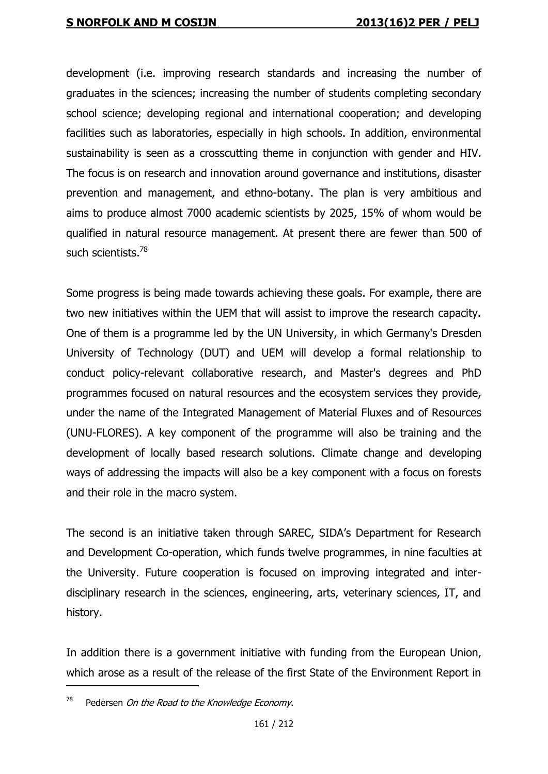development (i.e. improving research standards and increasing the number of graduates in the sciences; increasing the number of students completing secondary school science; developing regional and international cooperation; and developing facilities such as laboratories, especially in high schools. In addition, environmental sustainability is seen as a crosscutting theme in conjunction with gender and HIV. The focus is on research and innovation around governance and institutions, disaster prevention and management, and ethno-botany. The plan is very ambitious and aims to produce almost 7000 academic scientists by 2025, 15% of whom would be qualified in natural resource management. At present there are fewer than 500 of such scientists.<sup>78</sup>

Some progress is being made towards achieving these goals. For example, there are two new initiatives within the UEM that will assist to improve the research capacity. One of them is a programme led by the UN University, in which Germany's Dresden University of Technology (DUT) and UEM will develop a formal relationship to conduct policy-relevant collaborative research, and Master's degrees and PhD programmes focused on natural resources and the ecosystem services they provide, under the name of the Integrated Management of Material Fluxes and of Resources (UNU-FLORES). A key component of the programme will also be training and the development of locally based research solutions. Climate change and developing ways of addressing the impacts will also be a key component with a focus on forests and their role in the macro system.

The second is an initiative taken through SAREC, SIDA's Department for Research and Development Co-operation, which funds twelve programmes, in nine faculties at the University. Future cooperation is focused on improving integrated and interdisciplinary research in the sciences, engineering, arts, veterinary sciences, IT, and history.

In addition there is a government initiative with funding from the European Union, which arose as a result of the release of the first State of the Environment Report in

 $78$  Pedersen On the Road to the Knowledge Economy.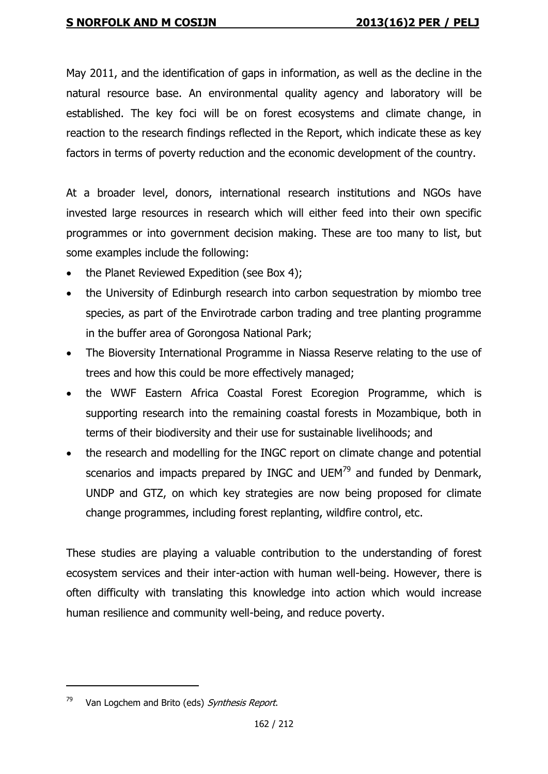May 2011, and the identification of gaps in information, as well as the decline in the natural resource base. An environmental quality agency and laboratory will be established. The key foci will be on forest ecosystems and climate change, in reaction to the research findings reflected in the Report, which indicate these as key factors in terms of poverty reduction and the economic development of the country.

At a broader level, donors, international research institutions and NGOs have invested large resources in research which will either feed into their own specific programmes or into government decision making. These are too many to list, but some examples include the following:

- the Planet Reviewed Expedition (see Box 4);
- the University of Edinburgh research into carbon sequestration by miombo tree species, as part of the Envirotrade carbon trading and tree planting programme in the buffer area of Gorongosa National Park;
- The Bioversity International Programme in Niassa Reserve relating to the use of trees and how this could be more effectively managed;
- the WWF Eastern Africa Coastal Forest Ecoregion Programme, which is supporting research into the remaining coastal forests in Mozambique, both in terms of their biodiversity and their use for sustainable livelihoods; and
- the research and modelling for the INGC report on climate change and potential scenarios and impacts prepared by INGC and UEM $^{79}$  and funded by Denmark, UNDP and GTZ, on which key strategies are now being proposed for climate change programmes, including forest replanting, wildfire control, etc.

These studies are playing a valuable contribution to the understanding of forest ecosystem services and their inter-action with human well-being. However, there is often difficulty with translating this knowledge into action which would increase human resilience and community well-being, and reduce poverty.

 $79$  Van Logchem and Brito (eds) Synthesis Report.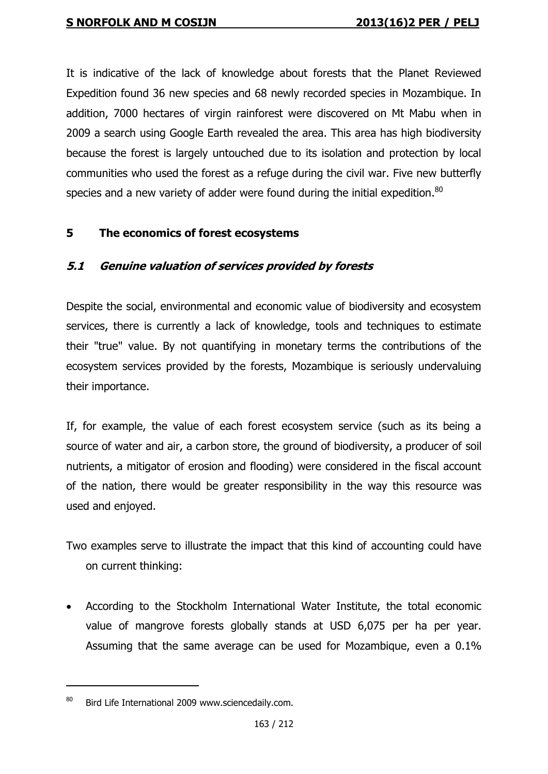It is indicative of the lack of knowledge about forests that the Planet Reviewed Expedition found 36 new species and 68 newly recorded species in Mozambique. In addition, 7000 hectares of virgin rainforest were discovered on Mt Mabu when in 2009 a search using Google Earth revealed the area. This area has high biodiversity because the forest is largely untouched due to its isolation and protection by local communities who used the forest as a refuge during the civil war. Five new butterfly species and a new variety of adder were found during the initial expedition.<sup>80</sup>

### **5 The economics of forest ecosystems**

### **5.1 Genuine valuation of services provided by forests**

Despite the social, environmental and economic value of biodiversity and ecosystem services, there is currently a lack of knowledge, tools and techniques to estimate their "true" value. By not quantifying in monetary terms the contributions of the ecosystem services provided by the forests, Mozambique is seriously undervaluing their importance.

If, for example, the value of each forest ecosystem service (such as its being a source of water and air, a carbon store, the ground of biodiversity, a producer of soil nutrients, a mitigator of erosion and flooding) were considered in the fiscal account of the nation, there would be greater responsibility in the way this resource was used and enjoyed.

Two examples serve to illustrate the impact that this kind of accounting could have on current thinking:

 According to the Stockholm International Water Institute, the total economic value of mangrove forests globally stands at USD 6,075 per ha per year. Assuming that the same average can be used for Mozambique, even a 0.1%

<sup>80</sup> Bird Life International 2009 www.sciencedaily.com.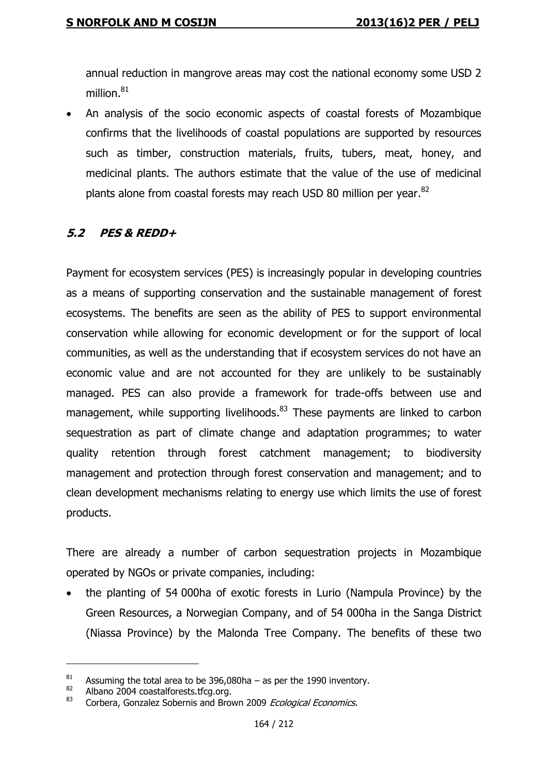annual reduction in mangrove areas may cost the national economy some USD 2 million. $81$ 

 An analysis of the socio economic aspects of coastal forests of Mozambique confirms that the livelihoods of coastal populations are supported by resources such as timber, construction materials, fruits, tubers, meat, honey, and medicinal plants. The authors estimate that the value of the use of medicinal plants alone from coastal forests may reach USD 80 million per year.<sup>82</sup>

### **5.2 PES & REDD+**

Payment for ecosystem services (PES) is increasingly popular in developing countries as a means of supporting conservation and the sustainable management of forest ecosystems. The benefits are seen as the ability of PES to support environmental conservation while allowing for economic development or for the support of local communities, as well as the understanding that if ecosystem services do not have an economic value and are not accounted for they are unlikely to be sustainably managed. PES can also provide a framework for trade-offs between use and management, while supporting livelihoods.<sup>83</sup> These payments are linked to carbon sequestration as part of climate change and adaptation programmes; to water quality retention through forest catchment management; to biodiversity management and protection through forest conservation and management; and to clean development mechanisms relating to energy use which limits the use of forest products.

There are already a number of carbon sequestration projects in Mozambique operated by NGOs or private companies, including:

 the planting of 54 000ha of exotic forests in Lurio (Nampula Province) by the Green Resources, a Norwegian Company, and of 54 000ha in the Sanga District (Niassa Province) by the Malonda Tree Company. The benefits of these two

<sup>81</sup> Assuming the total area to be 396,080ha – as per the 1990 inventory.

 $^{82}$  Albano 2004 coastalforests.tfcg.org.

Corbera, Gonzalez Sobernis and Brown 2009 Ecological Economics.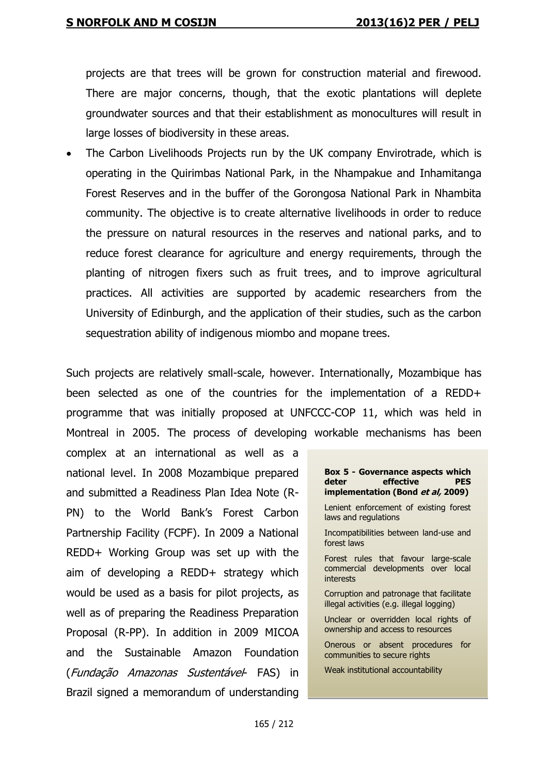projects are that trees will be grown for construction material and firewood. There are major concerns, though, that the exotic plantations will deplete groundwater sources and that their establishment as monocultures will result in large losses of biodiversity in these areas.

 The Carbon Livelihoods Projects run by the UK company Envirotrade, which is operating in the Quirimbas National Park, in the Nhampakue and Inhamitanga Forest Reserves and in the buffer of the Gorongosa National Park in Nhambita community. The objective is to create alternative livelihoods in order to reduce the pressure on natural resources in the reserves and national parks, and to reduce forest clearance for agriculture and energy requirements, through the planting of nitrogen fixers such as fruit trees, and to improve agricultural practices. All activities are supported by academic researchers from the University of Edinburgh, and the application of their studies, such as the carbon sequestration ability of indigenous miombo and mopane trees.

Such projects are relatively small-scale, however. Internationally, Mozambique has been selected as one of the countries for the implementation of a REDD+ programme that was initially proposed at UNFCCC-COP 11, which was held in Montreal in 2005. The process of developing workable mechanisms has been

complex at an international as well as a national level. In 2008 Mozambique prepared and submitted a Readiness Plan Idea Note (R-PN) to the World Bank's Forest Carbon Partnership Facility (FCPF). In 2009 a National REDD+ Working Group was set up with the aim of developing a REDD+ strategy which would be used as a basis for pilot projects, as well as of preparing the Readiness Preparation Proposal (R-PP). In addition in 2009 MICOA and the Sustainable Amazon Foundation (Fundação Amazonas Sustentável- FAS) in Brazil signed a memorandum of understanding

#### <span id="page-44-0"></span>**Box 5 - Governance aspects which deter effective PES implementation (Bond et al, 2009)**

Lenient enforcement of existing forest laws and regulations

Incompatibilities between land-use and forest laws

Forest rules that favour large-scale commercial developments over local interests

Corruption and patronage that facilitate illegal activities (e.g. illegal logging)

Unclear or overridden local rights of ownership and access to resources

Onerous or absent procedures for communities to secure rights

Weak institutional accountability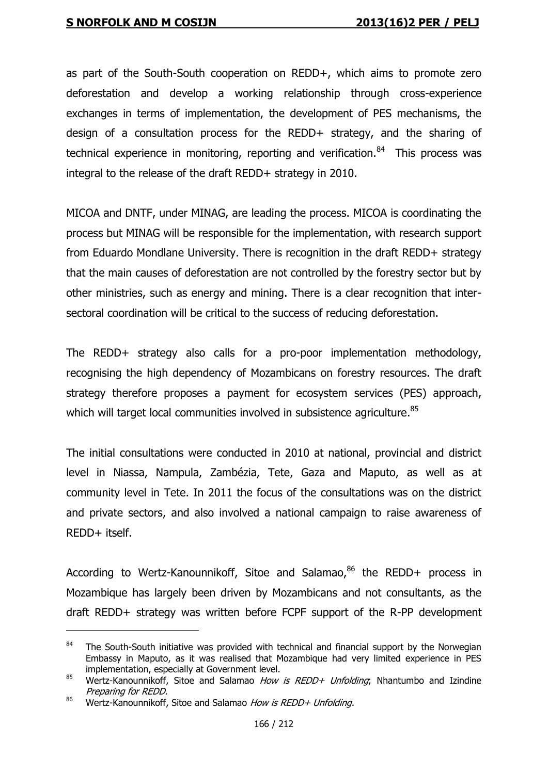as part of the South-South cooperation on REDD+, which aims to promote zero deforestation and develop a working relationship through cross-experience exchanges in terms of implementation, the development of PES mechanisms, the design of a consultation process for the REDD+ strategy, and the sharing of technical experience in monitoring, reporting and verification.<sup>84</sup> This process was integral to the release of the draft REDD+ strategy in 2010.

MICOA and DNTF, under MINAG, are leading the process. MICOA is coordinating the process but MINAG will be responsible for the implementation, with research support from Eduardo Mondlane University. There is recognition in the draft REDD+ strategy that the main causes of deforestation are not controlled by the forestry sector but by other ministries, such as energy and mining. There is a clear recognition that intersectoral coordination will be critical to the success of reducing deforestation.

The REDD+ strategy also calls for a pro-poor implementation methodology, recognising the high dependency of Mozambicans on forestry resources. The draft strategy therefore proposes a payment for ecosystem services (PES) approach, which will target local communities involved in subsistence agriculture.<sup>85</sup>

The initial consultations were conducted in 2010 at national, provincial and district level in Niassa, Nampula, Zambézia, Tete, Gaza and Maputo, as well as at community level in Tete. In 2011 the focus of the consultations was on the district and private sectors, and also involved a national campaign to raise awareness of REDD+ itself.

According to Wertz-Kanounnikoff, Sitoe and Salamao,<sup>86</sup> the REDD+ process in Mozambique has largely been driven by Mozambicans and not consultants, as the draft REDD+ strategy was written before FCPF support of the R-PP development

 $84$  The South-South initiative was provided with technical and financial support by the Norwegian Embassy in Maputo, as it was realised that Mozambique had very limited experience in PES implementation, especially at Government level.

 $85$  Wertz-Kanounnikoff, Sitoe and Salamao *How is REDD+ Unfolding*; Nhantumbo and Izindine Preparing for REDD.

<sup>86</sup> Wertz-Kanounnikoff, Sitoe and Salamao How is REDD+ Unfolding.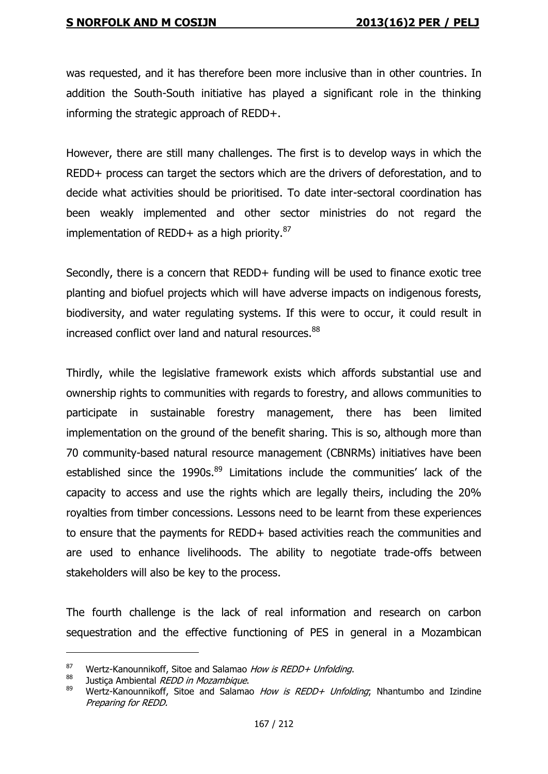was requested, and it has therefore been more inclusive than in other countries. In addition the South-South initiative has played a significant role in the thinking informing the strategic approach of REDD+.

However, there are still many challenges. The first is to develop ways in which the REDD+ process can target the sectors which are the drivers of deforestation, and to decide what activities should be prioritised. To date inter-sectoral coordination has been weakly implemented and other sector ministries do not regard the implementation of REDD+ as a high priority.<sup>87</sup>

Secondly, there is a concern that REDD+ funding will be used to finance exotic tree planting and biofuel projects which will have adverse impacts on indigenous forests, biodiversity, and water regulating systems. If this were to occur, it could result in increased conflict over land and natural resources.<sup>88</sup>

Thirdly, while the legislative framework exists which affords substantial use and ownership rights to communities with regards to forestry, and allows communities to participate in sustainable forestry management, there has been limited implementation on the ground of the benefit sharing. This is so, although more than 70 community-based natural resource management (CBNRMs) initiatives have been established since the 1990s.<sup>89</sup> Limitations include the communities' lack of the capacity to access and use the rights which are legally theirs, including the 20% royalties from timber concessions. Lessons need to be learnt from these experiences to ensure that the payments for REDD+ based activities reach the communities and are used to enhance livelihoods. The ability to negotiate trade-offs between stakeholders will also be key to the process.

The fourth challenge is the lack of real information and research on carbon sequestration and the effective functioning of PES in general in a Mozambican

<sup>87</sup> Wertz-Kanounnikoff, Sitoe and Salamao How is  $REDD+$  Unfolding.

<sup>&</sup>lt;sup>88</sup> Justiça Ambiental *REDD in Mozambique.*<br> $\frac{89}{2}$  Mota Kanouppikeff, Sites and Salamas

Wertz-Kanounnikoff, Sitoe and Salamao How is REDD+ Unfolding; Nhantumbo and Izindine Preparing for REDD.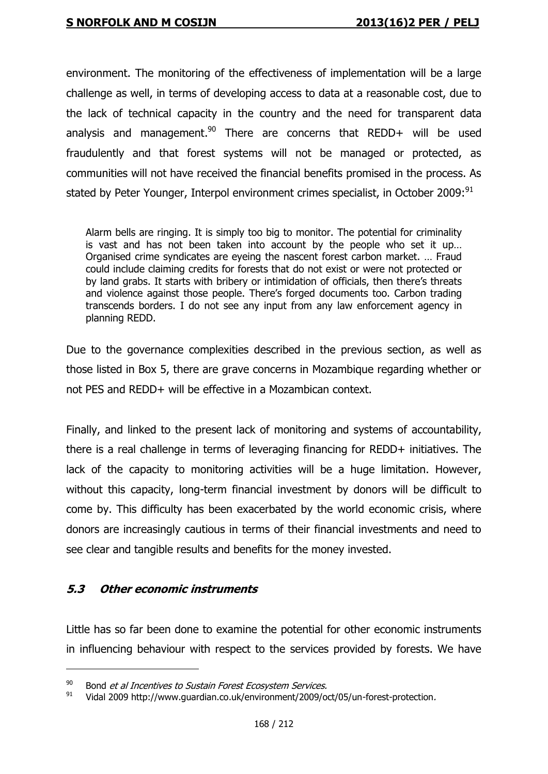environment. The monitoring of the effectiveness of implementation will be a large challenge as well, in terms of developing access to data at a reasonable cost, due to the lack of technical capacity in the country and the need for transparent data analysis and management.<sup>90</sup> There are concerns that REDD+ will be used fraudulently and that forest systems will not be managed or protected, as communities will not have received the financial benefits promised in the process. As stated by [Peter Younger,](http://bit.ly/9jPqfc) Interpol environment crimes specialist, in October 2009:<sup>91</sup>

Alarm bells are ringing. It is simply too big to monitor. The potential for criminality is vast and has not been taken into account by the people who set it up… Organised crime syndicates are eyeing the nascent forest carbon market. … Fraud could include claiming credits for forests that do not exist or were not protected or by land grabs. It starts with bribery or intimidation of officials, then there's threats and violence against those people. There's forged documents too. Carbon trading transcends borders. I do not see any input from any law enforcement agency in planning REDD.

Due to the governance complexities described in the previous section, as well as those listed in [Box 5](#page-44-0), there are grave concerns in Mozambique regarding whether or not PES and REDD+ will be effective in a Mozambican context.

Finally, and linked to the present lack of monitoring and systems of accountability, there is a real challenge in terms of leveraging financing for REDD+ initiatives. The lack of the capacity to monitoring activities will be a huge limitation. However, without this capacity, long-term financial investment by donors will be difficult to come by. This difficulty has been exacerbated by the world economic crisis, where donors are increasingly cautious in terms of their financial investments and need to see clear and tangible results and benefits for the money invested.

### **5.3 Other economic instruments**

<u>.</u>

Little has so far been done to examine the potential for other economic instruments in influencing behaviour with respect to the services provided by forests. We have

<sup>90</sup> Bond *et al Incentives to Sustain Forest Ecosystem Services.*<br>91 Midal 2009 http://www.guardian.co.uk/epyrapment/2009/o

<sup>91</sup> Vidal 2009 http://www.guardian.co.uk/environment/2009/oct/05/un-forest-protection.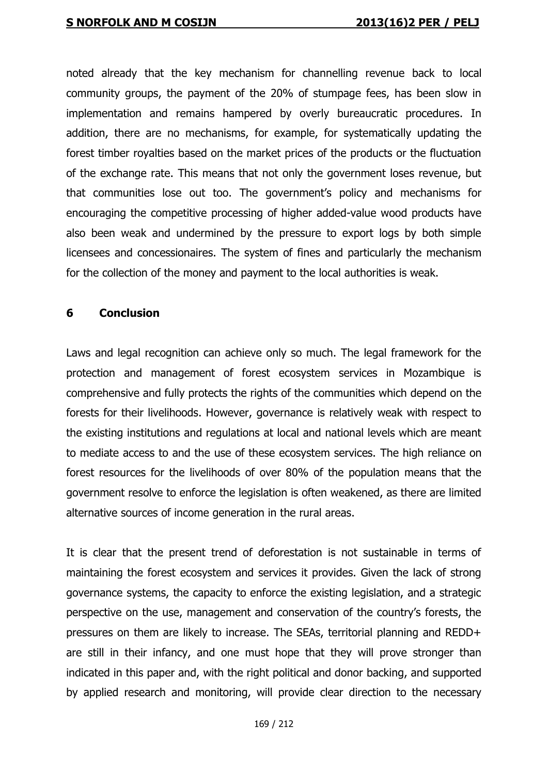noted already that the key mechanism for channelling revenue back to local community groups, the payment of the 20% of stumpage fees, has been slow in implementation and remains hampered by overly bureaucratic procedures. In addition, there are no mechanisms, for example, for systematically updating the forest timber royalties based on the market prices of the products or the fluctuation of the exchange rate. This means that not only the government loses revenue, but that communities lose out too. The government's policy and mechanisms for encouraging the competitive processing of higher added-value wood products have also been weak and undermined by the pressure to export logs by both simple licensees and concessionaires. The system of fines and particularly the mechanism for the collection of the money and payment to the local authorities is weak.

### **6 Conclusion**

Laws and legal recognition can achieve only so much. The legal framework for the protection and management of forest ecosystem services in Mozambique is comprehensive and fully protects the rights of the communities which depend on the forests for their livelihoods. However, governance is relatively weak with respect to the existing institutions and regulations at local and national levels which are meant to mediate access to and the use of these ecosystem services. The high reliance on forest resources for the livelihoods of over 80% of the population means that the government resolve to enforce the legislation is often weakened, as there are limited alternative sources of income generation in the rural areas.

It is clear that the present trend of deforestation is not sustainable in terms of maintaining the forest ecosystem and services it provides. Given the lack of strong governance systems, the capacity to enforce the existing legislation, and a strategic perspective on the use, management and conservation of the country's forests, the pressures on them are likely to increase. The SEAs, territorial planning and REDD+ are still in their infancy, and one must hope that they will prove stronger than indicated in this paper and, with the right political and donor backing, and supported by applied research and monitoring, will provide clear direction to the necessary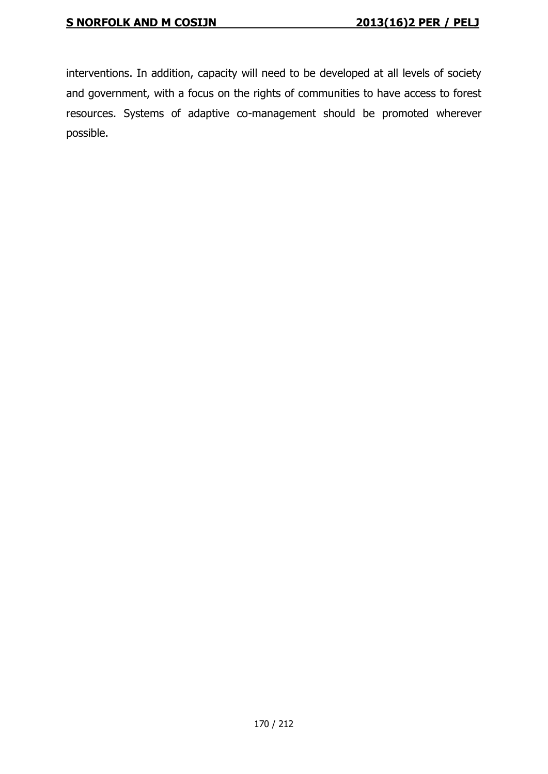interventions. In addition, capacity will need to be developed at all levels of society and government, with a focus on the rights of communities to have access to forest resources. Systems of adaptive co-management should be promoted wherever possible.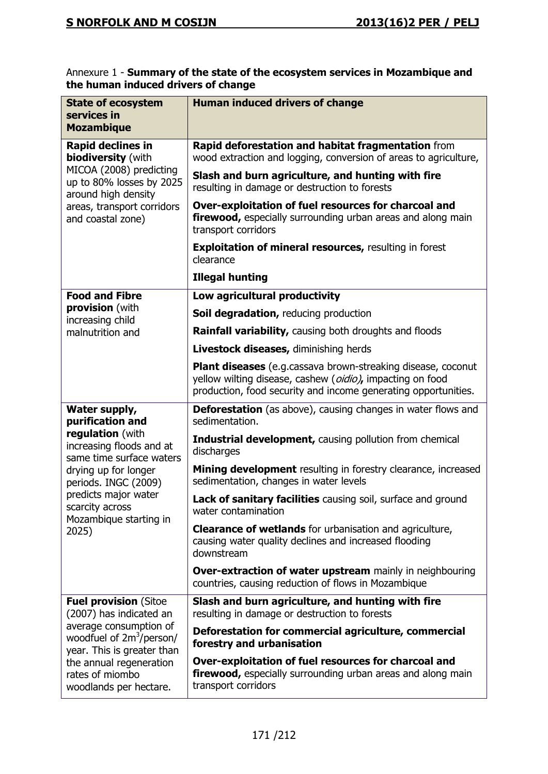| <b>State of ecosystem</b><br>services in<br><b>Mozambique</b>                                | <b>Human induced drivers of change</b>                                                                                                                                                                       |  |  |
|----------------------------------------------------------------------------------------------|--------------------------------------------------------------------------------------------------------------------------------------------------------------------------------------------------------------|--|--|
| <b>Rapid declines in</b><br><b>biodiversity</b> (with                                        | Rapid deforestation and habitat fragmentation from<br>wood extraction and logging, conversion of areas to agriculture,                                                                                       |  |  |
| MICOA (2008) predicting<br>up to 80% losses by 2025                                          | Slash and burn agriculture, and hunting with fire<br>resulting in damage or destruction to forests                                                                                                           |  |  |
| around high density<br>areas, transport corridors<br>and coastal zone)                       | Over-exploitation of fuel resources for charcoal and<br><b>firewood,</b> especially surrounding urban areas and along main<br>transport corridors                                                            |  |  |
|                                                                                              | <b>Exploitation of mineral resources, resulting in forest</b><br>clearance                                                                                                                                   |  |  |
|                                                                                              | <b>Illegal hunting</b>                                                                                                                                                                                       |  |  |
| <b>Food and Fibre</b>                                                                        | Low agricultural productivity                                                                                                                                                                                |  |  |
| provision (with<br>increasing child                                                          | Soil degradation, reducing production                                                                                                                                                                        |  |  |
| malnutrition and                                                                             | <b>Rainfall variability, causing both droughts and floods</b>                                                                                                                                                |  |  |
|                                                                                              | Livestock diseases, diminishing herds                                                                                                                                                                        |  |  |
|                                                                                              | <b>Plant diseases</b> (e.g. cassava brown-streaking disease, coconut<br>yellow wilting disease, cashew ( <i>oidio)</i> , impacting on food<br>production, food security and income generating opportunities. |  |  |
| Water supply,<br>purification and                                                            | <b>Deforestation</b> (as above), causing changes in water flows and<br>sedimentation.                                                                                                                        |  |  |
| regulation (with<br>increasing floods and at<br>same time surface waters                     | Industrial development, causing pollution from chemical<br>discharges                                                                                                                                        |  |  |
| drying up for longer<br>periods. INGC (2009)                                                 | <b>Mining development</b> resulting in forestry clearance, increased<br>sedimentation, changes in water levels                                                                                               |  |  |
| predicts major water<br>scarcity across                                                      | Lack of sanitary facilities causing soil, surface and ground<br>water contamination                                                                                                                          |  |  |
| Mozambique starting in<br>2025)                                                              | <b>Clearance of wetlands</b> for urbanisation and agriculture,<br>causing water quality declines and increased flooding<br>downstream                                                                        |  |  |
|                                                                                              | <b>Over-extraction of water upstream</b> mainly in neighbouring<br>countries, causing reduction of flows in Mozambique                                                                                       |  |  |
| <b>Fuel provision (Sitoe</b><br>(2007) has indicated an                                      | Slash and burn agriculture, and hunting with fire<br>resulting in damage or destruction to forests                                                                                                           |  |  |
| average consumption of<br>woodfuel of 2m <sup>3</sup> /person/<br>year. This is greater than | Deforestation for commercial agriculture, commercial<br>forestry and urbanisation                                                                                                                            |  |  |
| the annual regeneration<br>rates of miombo<br>woodlands per hectare.                         | Over-exploitation of fuel resources for charcoal and<br><b>firewood,</b> especially surrounding urban areas and along main<br>transport corridors                                                            |  |  |

Annexure 1 - **Summary of the state of the ecosystem services in Mozambique and the human induced drivers of change**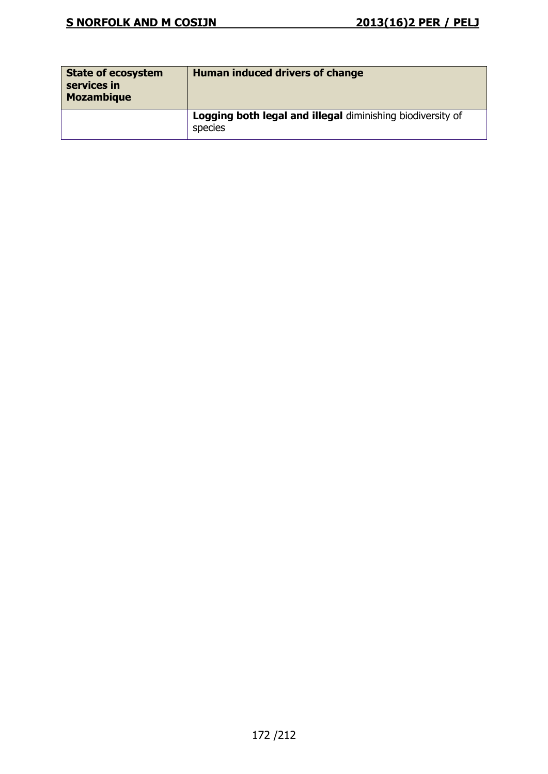| <b>State of ecosystem</b><br>services in<br><b>Mozambique</b> | <b>Human induced drivers of change</b>                                |
|---------------------------------------------------------------|-----------------------------------------------------------------------|
|                                                               | Logging both legal and illegal diminishing biodiversity of<br>species |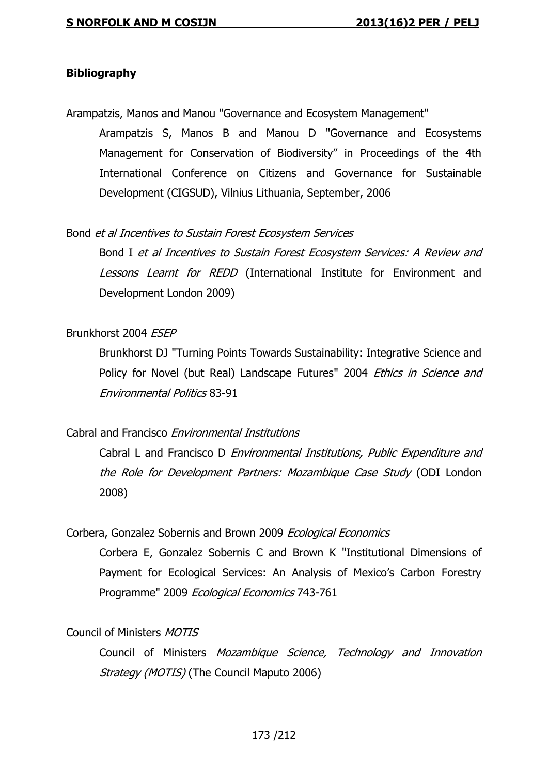### **Bibliography**

Arampatzis, Manos and Manou "Governance and Ecosystem Management"

Arampatzis S, Manos B and Manou D "Governance and Ecosystems Management for Conservation of Biodiversity" in Proceedings of the 4th International Conference on Citizens and Governance for Sustainable Development (CIGSUD), Vilnius Lithuania, September, 2006

### Bond et al Incentives to Sustain Forest Ecosystem Services

Bond I et al Incentives to Sustain Forest Ecosystem Services: A Review and Lessons Learnt for REDD (International Institute for Environment and Development London 2009)

### Brunkhorst 2004 ESEP

Brunkhorst DJ "Turning Points Towards Sustainability: Integrative Science and Policy for Novel (but Real) Landscape Futures" 2004 Ethics in Science and Environmental Politics 83-91

### Cabral and Francisco Environmental Institutions

Cabral L and Francisco D Environmental Institutions, Public Expenditure and the Role for Development Partners: Mozambique Case Study (ODI London 2008)

### Corbera, Gonzalez Sobernis and Brown 2009 Ecological Economics

Corbera E, Gonzalez Sobernis C and Brown K "Institutional Dimensions of Payment for Ecological Services: An Analysis of Mexico's Carbon Forestry Programme" 2009 Ecological Economics 743-761

### Council of Ministers MOTIS

Council of Ministers Mozambique Science, Technology and Innovation Strategy (MOTIS) (The Council Maputo 2006)

### 173 /212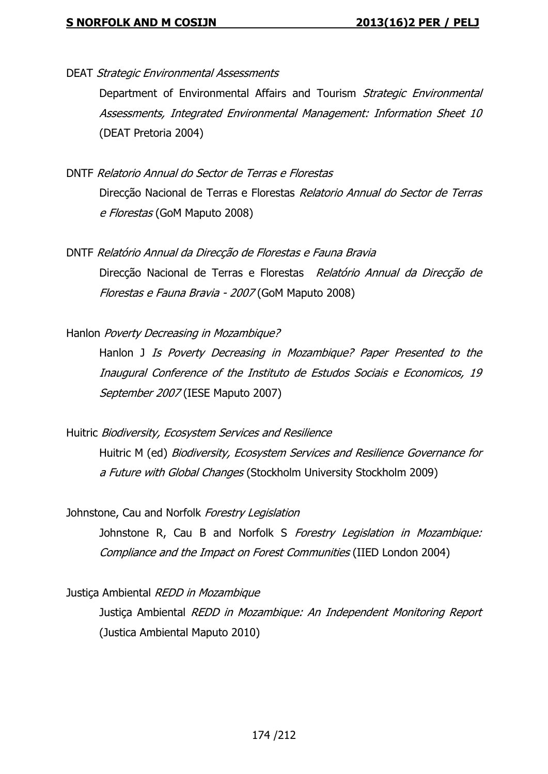### **S NORFOLK AND M COSIJN 2013(16)2 PER / PELJ**

DEAT Strategic Environmental Assessments

Department of Environmental Affairs and Tourism Strategic Environmental Assessments, Integrated Environmental Management: Information Sheet 10 (DEAT Pretoria 2004)

DNTF Relatorio Annual do Sector de Terras e Florestas Direcção Nacional de Terras e Florestas Relatorio Annual do Sector de Terras e Florestas (GoM Maputo 2008)

DNTF Relatório Annual da Direcção de Florestas e Fauna Bravia Direcção Nacional de Terras e Florestas Relatório Annual da Direcção de Florestas e Fauna Bravia - 2007 (GoM Maputo 2008)

Hanlon Poverty Decreasing in Mozambique?

Hanlon J Is Poverty Decreasing in Mozambique? Paper Presented to the Inaugural Conference of the Instituto de Estudos Sociais e Economicos, 19 September 2007 (IESE Maputo 2007)

Huitric Biodiversity, Ecosystem Services and Resilience Huitric M (ed) Biodiversity, Ecosystem Services and Resilience Governance for a Future with Global Changes (Stockholm University Stockholm 2009)

Johnstone, Cau and Norfolk Forestry Legislation

Johnstone R, Cau B and Norfolk S Forestry Legislation in Mozambique: Compliance and the Impact on Forest Communities (IIED London 2004)

Justiça Ambiental REDD in Mozambique

Justiça Ambiental REDD in Mozambique: An Independent Monitoring Report (Justica Ambiental Maputo 2010)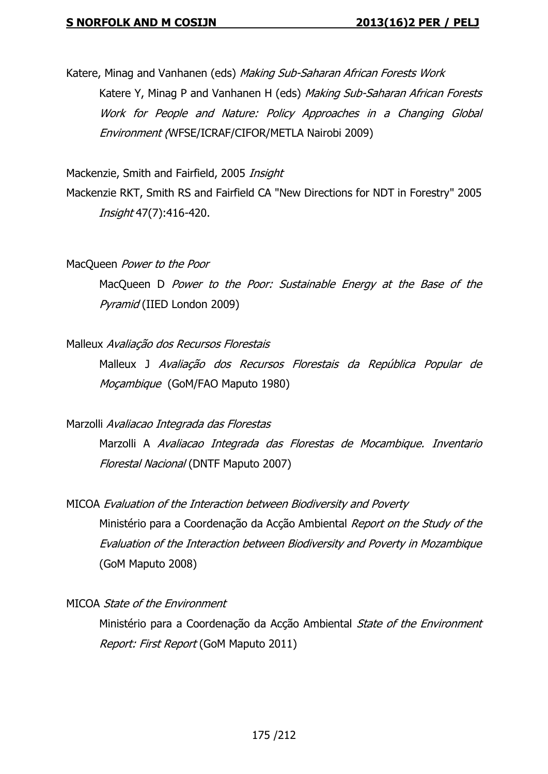Katere, Minag and Vanhanen (eds) Making Sub-Saharan African Forests Work Katere Y, Minag P and Vanhanen H (eds) Making Sub-Saharan African Forests Work for People and Nature: Policy Approaches in a Changing Global Environment (WFSE/ICRAF/CIFOR/METLA Nairobi 2009)

Mackenzie, Smith and Fairfield, 2005 Insight

Mackenzie RKT, Smith RS and Fairfield CA "New Directions for NDT in Forestry" 2005 Insight 47(7):416-420.

MacQueen Power to the Poor

MacQueen D Power to the Poor: Sustainable Energy at the Base of the Pyramid (IIED London 2009)

### Malleux Avaliação dos Recursos Florestais

Malleux J Avaliação dos Recursos Florestais da República Popular de Moçambique (GoM/FAO Maputo 1980)

Marzolli Avaliacao Integrada das Florestas

Marzolli A Avaliacao Integrada das Florestas de Mocambique. Inventario Florestal Nacional (DNTF Maputo 2007)

### MICOA Evaluation of the Interaction between Biodiversity and Poverty

Ministério para a Coordenação da Acção Ambiental Report on the Study of the Evaluation of the Interaction between Biodiversity and Poverty in Mozambique (GoM Maputo 2008)

### MICOA State of the Environment

Ministério para a Coordenação da Acção Ambiental State of the Environment Report: First Report (GoM Maputo 2011)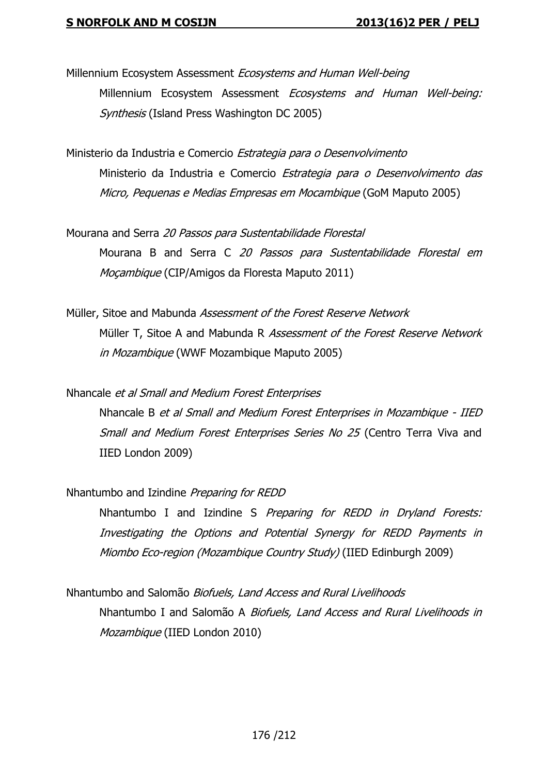Millennium Ecosystem Assessment Ecosystems and Human Well-being Millennium Ecosystem Assessment Ecosystems and Human Well-being: Synthesis (Island Press Washington DC 2005)

Ministerio da Industria e Comercio Estrategia para o Desenvolvimento Ministerio da Industria e Comercio Estrategia para o Desenvolvimento das Micro, Pequenas e Medias Empresas em Mocambique (GoM Maputo 2005)

Mourana and Serra 20 Passos para Sustentabilidade Florestal Mourana B and Serra C 20 Passos para Sustentabilidade Florestal em Moçambique (CIP/Amigos da Floresta Maputo 2011)

Müller, Sitoe and Mabunda Assessment of the Forest Reserve Network Müller T, Sitoe A and Mabunda R Assessment of the Forest Reserve Network in Mozambique (WWF Mozambique Maputo 2005)

Nhancale et al Small and Medium Forest Enterprises

Nhancale B et al Small and Medium Forest Enterprises in Mozambique - IIED Small and Medium Forest Enterprises Series No 25 (Centro Terra Viva and IIED London 2009)

Nhantumbo and Izindine Preparing for REDD

Nhantumbo I and Izindine S Preparing for REDD in Dryland Forests: Investigating the Options and Potential Synergy for REDD Payments in Miombo Eco-region (Mozambique Country Study) (IIED Edinburgh 2009)

Nhantumbo and Salomão Biofuels, Land Access and Rural Livelihoods Nhantumbo I and Salomão A Biofuels, Land Access and Rural Livelihoods in Mozambique (IIED London 2010)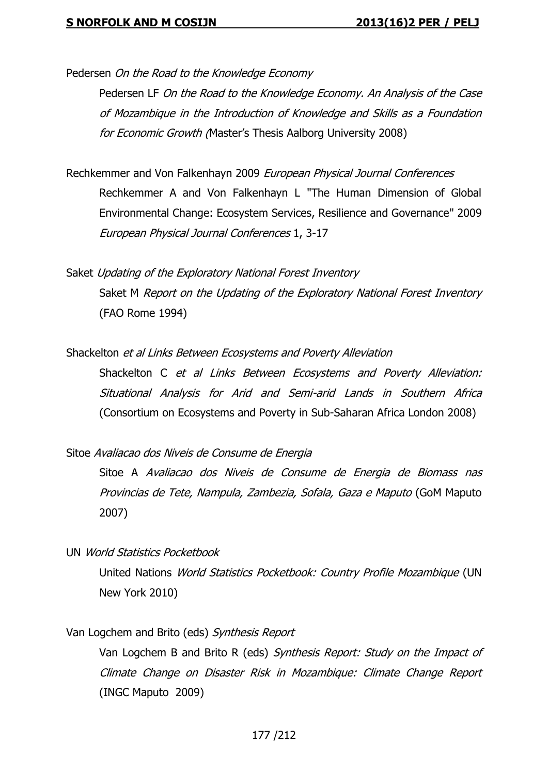Pedersen On the Road to the Knowledge Economy

Pedersen LF On the Road to the Knowledge Economy. An Analysis of the Case of Mozambique in the Introduction of Knowledge and Skills as a Foundation for Economic Growth (Master's Thesis Aalborg University 2008)

Rechkemmer and Von Falkenhayn 2009 European Physical Journal Conferences Rechkemmer A and Von Falkenhayn L "The Human Dimension of Global Environmental Change: Ecosystem Services, Resilience and Governance" 2009 European Physical Journal Conferences 1, 3-17

Saket Updating of the Exploratory National Forest Inventory Saket M Report on the Updating of the Exploratory National Forest Inventory (FAO Rome 1994)

Shackelton et al Links Between Ecosystems and Poverty Alleviation Shackelton C et al Links Between Ecosystems and Poverty Alleviation: Situational Analysis for Arid and Semi-arid Lands in Southern Africa (Consortium on Ecosystems and Poverty in Sub-Saharan Africa London 2008)

### Sitoe Avaliacao dos Niveis de Consume de Energia

Sitoe A Avaliacao dos Niveis de Consume de Energia de Biomass nas Provincias de Tete, Nampula, Zambezia, Sofala, Gaza e Maputo (GoM Maputo 2007)

UN World Statistics Pocketbook

United Nations World Statistics Pocketbook: Country Profile Mozambique (UN New York 2010)

### Van Logchem and Brito (eds) Synthesis Report

Van Logchem B and Brito R (eds) Synthesis Report: Study on the Impact of Climate Change on Disaster Risk in Mozambique: Climate Change Report (INGC Maputo 2009)

### 177 /212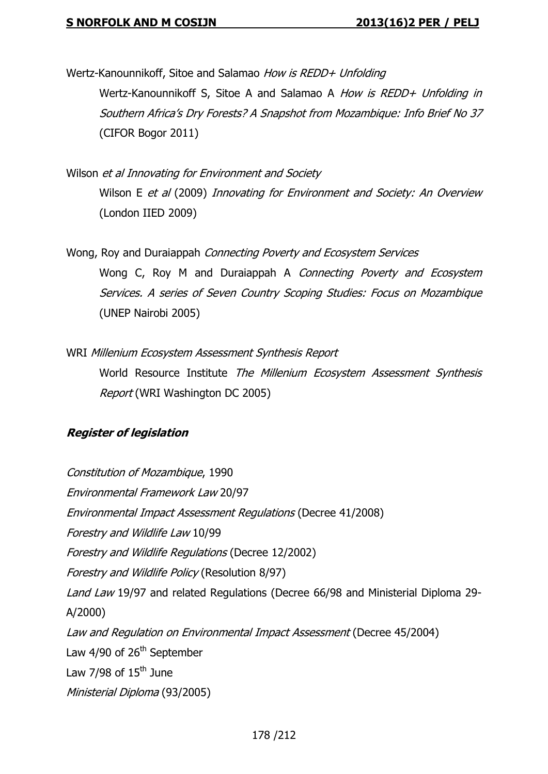Wertz-Kanounnikoff, Sitoe and Salamao How is REDD+ Unfolding Wertz-Kanounnikoff S, Sitoe A and Salamao A How is REDD+ Unfolding in Southern Africa's Dry Forests? A Snapshot from Mozambique: Info Brief No 37 (CIFOR Bogor 2011)

Wilson et al Innovating for Environment and Society Wilson E et al (2009) Innovating for Environment and Society: An Overview (London IIED 2009)

Wong, Roy and Duraiappah Connecting Poverty and Ecosystem Services Wong C, Roy M and Duraiappah A Connecting Poverty and Ecosystem Services. A series of Seven Country Scoping Studies: Focus on Mozambique (UNEP Nairobi 2005)

WRI Millenium Ecosystem Assessment Synthesis Report World Resource Institute The Millenium Ecosystem Assessment Synthesis Report (WRI Washington DC 2005)

### **Register of legislation**

Constitution of Mozambique, 1990 Environmental Framework Law 20/97 Environmental Impact Assessment Regulations (Decree 41/2008) Forestry and Wildlife Law 10/99 Forestry and Wildlife Regulations (Decree 12/2002) Forestry and Wildlife Policy (Resolution 8/97) Land Law 19/97 and related Regulations (Decree 66/98 and Ministerial Diploma 29- A/2000) Law and Regulation on Environmental Impact Assessment (Decree 45/2004) Law  $4/90$  of  $26<sup>th</sup>$  September Law  $7/98$  of  $15<sup>th</sup>$  June Ministerial Diploma (93/2005)

### 178 /212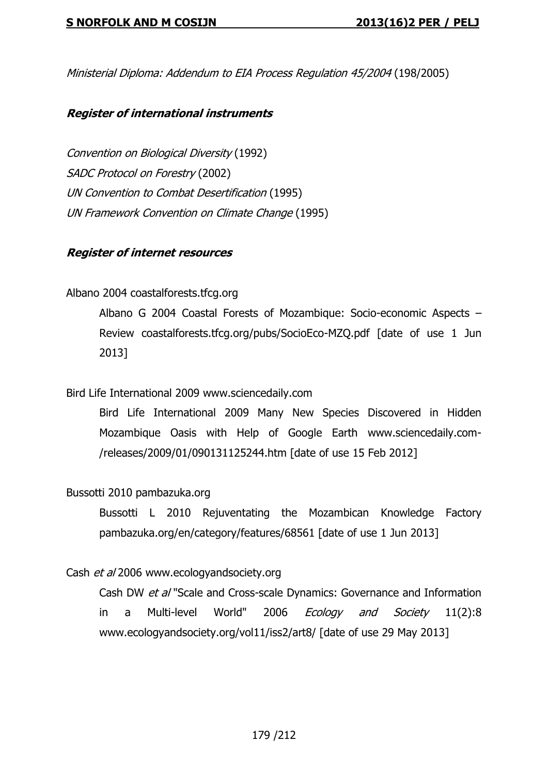Ministerial Diploma: Addendum to EIA Process Regulation 45/2004 (198/2005)

### **Register of international instruments**

Convention on Biological Diversity (1992) SADC Protocol on Forestry (2002) UN Convention to Combat Desertification (1995) UN Framework Convention on Climate Change (1995)

### **Register of internet resources**

### Albano 2004 coastalforests.tfcg.org

Albano G 2004 Coastal Forests of Mozambique: Socio-economic Aspects – Review coastalforests.tfcg.org/pubs/SocioEco-MZQ.pdf [date of use 1 Jun 2013]

### Bird Life International 2009 www.sciencedaily.com

Bird Life International 2009 Many New Species Discovered in Hidden Mozambique Oasis with Help of Google Earth www.sciencedaily.com- /releases/2009/01/090131125244.htm [date of use 15 Feb 2012]

### Bussotti 2010 pambazuka.org

Bussotti L 2010 Rejuventating the Mozambican Knowledge Factory pambazuka.org/en/category/features/68561 [date of use 1 Jun 2013]

#### Cash et al 2006 www.ecologyandsociety.org

Cash DW et al "Scale and Cross-scale Dynamics: Governance and Information in a Multi-level World" 2006 *Ecology and Society* 11(2):8 www.ecologyandsociety.org/vol11/iss2/art8/ [date of use 29 May 2013]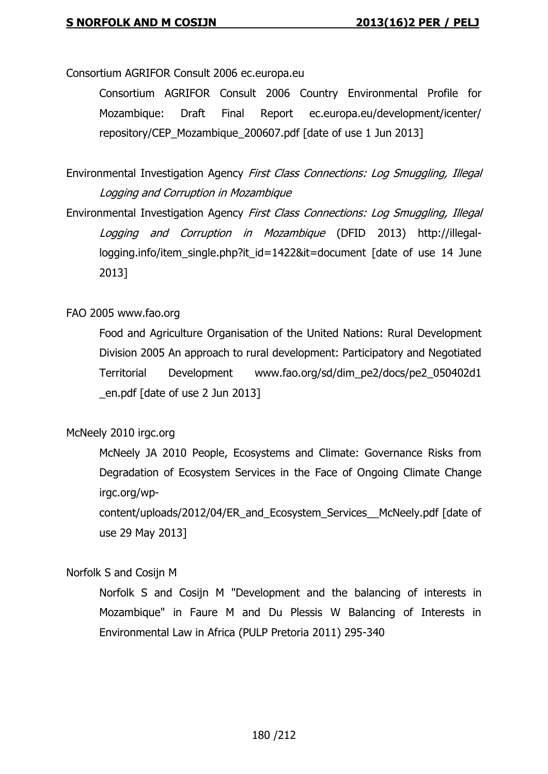Consortium AGRIFOR Consult 2006 ec.europa.eu

Consortium AGRIFOR Consult 2006 Country Environmental Profile for Mozambique: Draft Final Report ec.europa.eu/development/icenter/ repository/CEP\_Mozambique\_200607.pdf [date of use 1 Jun 2013]

Environmental Investigation Agency First Class Connections: Log Smuggling, Illegal Logging and Corruption in Mozambique

Environmental Investigation Agency First Class Connections: Log Smuggling, Illegal Logging and Corruption in Mozambique (DFID 2013) http://illegallogging.info/item\_single.php?it\_id=1422&it=document [date of use 14 June 2013]

FAO 2005 www.fao.org

Food and Agriculture Organisation of the United Nations: Rural Development Division 2005 An approach to rural development: Participatory and Negotiated Territorial Development www.fao.org/sd/dim\_pe2/docs/pe2\_050402d1 \_en.pdf [date of use 2 Jun 2013]

### McNeely 2010 irgc.org

McNeely JA 2010 People, Ecosystems and Climate: Governance Risks from Degradation of Ecosystem Services in the Face of Ongoing Climate Change irgc.org/wp-

content/uploads/2012/04/ER\_and\_Ecosystem\_Services\_\_McNeely.pdf [date of use 29 May 2013]

### Norfolk S and Cosijn M

Norfolk S and Cosijn M "Development and the balancing of interests in Mozambique" in Faure M and Du Plessis W Balancing of Interests in Environmental Law in Africa (PULP Pretoria 2011) 295-340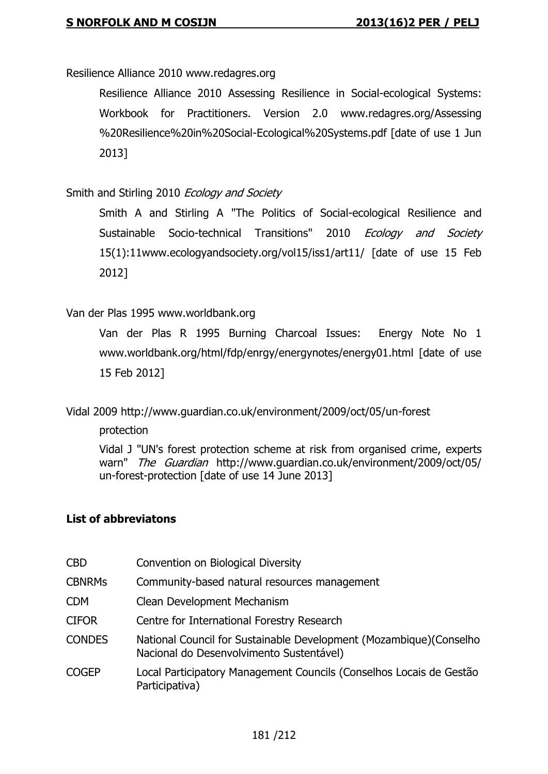Resilience Alliance 2010 www.redagres.org

Resilience Alliance 2010 Assessing Resilience in Social-ecological Systems: Workbook for Practitioners. Version 2.0 www.redagres.org/Assessing %20Resilience%20in%20Social-Ecological%20Systems.pdf [date of use 1 Jun 2013]

### Smith and Stirling 2010 Ecology and Society

Smith A and Stirling A "The Politics of Social-ecological Resilience and Sustainable Socio-technical Transitions" 2010 *Ecology and Society* 15(1):11www.ecologyandsociety.org/vol15/iss1/art11/ [date of use 15 Feb 2012]

### Van der Plas 1995 www.worldbank.org

Van der Plas R 1995 Burning Charcoal Issues: Energy Note No 1 www.worldbank.org/html/fdp/enrgy/energynotes/energy01.html [date of use 15 Feb 2012]

Vidal 2009 http://www.guardian.co.uk/environment/2009/oct/05/un-forest

protection

Vidal J "UN's forest protection scheme at risk from organised crime, experts warn" The Guardian http://www.guardian.co.uk/environment/2009/oct/05/ un-forest-protection [date of use 14 June 2013]

### **List of abbreviatons**

| Convention on Biological Diversity                                                                              |
|-----------------------------------------------------------------------------------------------------------------|
| Community-based natural resources management                                                                    |
| Clean Development Mechanism                                                                                     |
| Centre for International Forestry Research                                                                      |
| National Council for Sustainable Development (Mozambique) (Conselho<br>Nacional do Desenvolvimento Sustentável) |
| Local Participatory Management Councils (Conselhos Locais de Gestão<br>Participativa)                           |
|                                                                                                                 |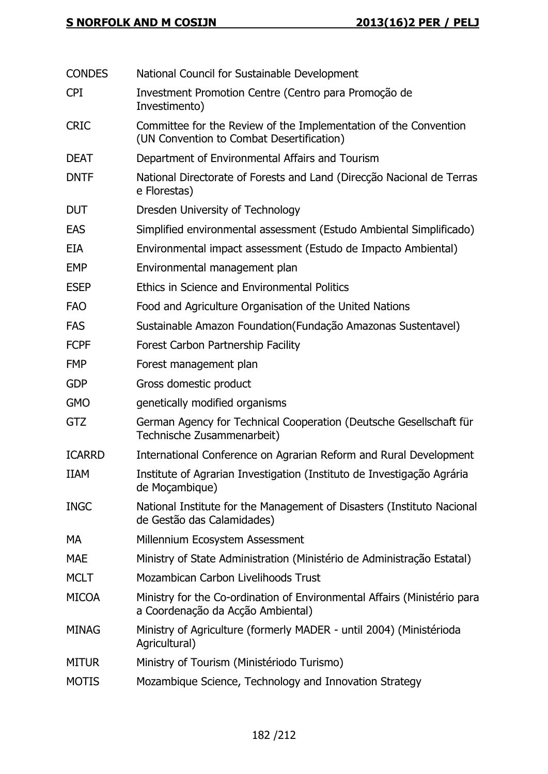| <b>CONDES</b> | National Council for Sustainable Development                                                                  |
|---------------|---------------------------------------------------------------------------------------------------------------|
| <b>CPI</b>    | Investment Promotion Centre (Centro para Promoção de<br>Investimento)                                         |
| <b>CRIC</b>   | Committee for the Review of the Implementation of the Convention<br>(UN Convention to Combat Desertification) |
| <b>DEAT</b>   | Department of Environmental Affairs and Tourism                                                               |
| <b>DNTF</b>   | National Directorate of Forests and Land (Direcção Nacional de Terras<br>e Florestas)                         |
| <b>DUT</b>    | Dresden University of Technology                                                                              |
| <b>EAS</b>    | Simplified environmental assessment (Estudo Ambiental Simplificado)                                           |
| <b>EIA</b>    | Environmental impact assessment (Estudo de Impacto Ambiental)                                                 |
| <b>EMP</b>    | Environmental management plan                                                                                 |
| <b>ESEP</b>   | Ethics in Science and Environmental Politics                                                                  |
| <b>FAO</b>    | Food and Agriculture Organisation of the United Nations                                                       |
| <b>FAS</b>    | Sustainable Amazon Foundation (Fundação Amazonas Sustentavel)                                                 |
| <b>FCPF</b>   | Forest Carbon Partnership Facility                                                                            |
| <b>FMP</b>    | Forest management plan                                                                                        |
| <b>GDP</b>    | Gross domestic product                                                                                        |
| <b>GMO</b>    | genetically modified organisms                                                                                |
| <b>GTZ</b>    | German Agency for Technical Cooperation (Deutsche Gesellschaft für<br>Technische Zusammenarbeit)              |
| <b>ICARRD</b> | International Conference on Agrarian Reform and Rural Development                                             |
| <b>IIAM</b>   | Institute of Agrarian Investigation (Instituto de Investigação Agrária<br>de Moçambique)                      |
| <b>INGC</b>   | National Institute for the Management of Disasters (Instituto Nacional<br>de Gestão das Calamidades)          |
| МA            | Millennium Ecosystem Assessment                                                                               |
| <b>MAE</b>    | Ministry of State Administration (Ministério de Administração Estatal)                                        |
| <b>MCLT</b>   | Mozambican Carbon Livelihoods Trust                                                                           |
| <b>MICOA</b>  | Ministry for the Co-ordination of Environmental Affairs (Ministério para<br>a Coordenação da Acção Ambiental) |
| <b>MINAG</b>  | Ministry of Agriculture (formerly MADER - until 2004) (Ministérioda<br>Agricultural)                          |
| <b>MITUR</b>  | Ministry of Tourism (Ministériodo Turismo)                                                                    |
| <b>MOTIS</b>  | Mozambique Science, Technology and Innovation Strategy                                                        |
|               |                                                                                                               |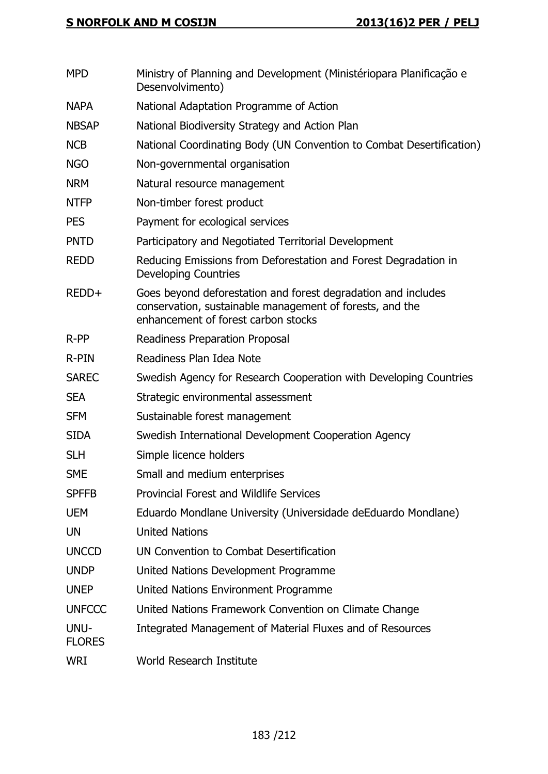| <b>MPD</b>            | Ministry of Planning and Development (Ministériopara Planificação e<br>Desenvolvimento)                                                                          |
|-----------------------|------------------------------------------------------------------------------------------------------------------------------------------------------------------|
| <b>NAPA</b>           | National Adaptation Programme of Action                                                                                                                          |
| <b>NBSAP</b>          | National Biodiversity Strategy and Action Plan                                                                                                                   |
| <b>NCB</b>            | National Coordinating Body (UN Convention to Combat Desertification)                                                                                             |
| <b>NGO</b>            | Non-governmental organisation                                                                                                                                    |
| <b>NRM</b>            | Natural resource management                                                                                                                                      |
| <b>NTFP</b>           | Non-timber forest product                                                                                                                                        |
| <b>PES</b>            | Payment for ecological services                                                                                                                                  |
| <b>PNTD</b>           | Participatory and Negotiated Territorial Development                                                                                                             |
| <b>REDD</b>           | Reducing Emissions from Deforestation and Forest Degradation in<br><b>Developing Countries</b>                                                                   |
| REDD+                 | Goes beyond deforestation and forest degradation and includes<br>conservation, sustainable management of forests, and the<br>enhancement of forest carbon stocks |
| R-PP                  | Readiness Preparation Proposal                                                                                                                                   |
| <b>R-PIN</b>          | Readiness Plan Idea Note                                                                                                                                         |
| <b>SAREC</b>          | Swedish Agency for Research Cooperation with Developing Countries                                                                                                |
| <b>SEA</b>            | Strategic environmental assessment                                                                                                                               |
| <b>SFM</b>            | Sustainable forest management                                                                                                                                    |
| <b>SIDA</b>           | Swedish International Development Cooperation Agency                                                                                                             |
| <b>SLH</b>            | Simple licence holders                                                                                                                                           |
| <b>SME</b>            | Small and medium enterprises                                                                                                                                     |
| <b>SPFFB</b>          | <b>Provincial Forest and Wildlife Services</b>                                                                                                                   |
| <b>UEM</b>            | Eduardo Mondlane University (Universidade deEduardo Mondlane)                                                                                                    |
| UN                    | <b>United Nations</b>                                                                                                                                            |
| <b>UNCCD</b>          | UN Convention to Combat Desertification                                                                                                                          |
| <b>UNDP</b>           | United Nations Development Programme                                                                                                                             |
| <b>UNEP</b>           | United Nations Environment Programme                                                                                                                             |
| <b>UNFCCC</b>         | United Nations Framework Convention on Climate Change                                                                                                            |
| UNU-<br><b>FLORES</b> | Integrated Management of Material Fluxes and of Resources                                                                                                        |
| <b>WRI</b>            | <b>World Research Institute</b>                                                                                                                                  |